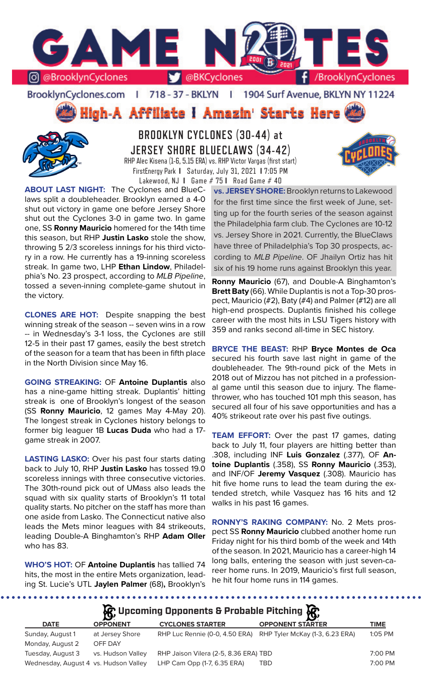

BrooklynCyclones.com | 718 - 37 - BKLYN | 1904 Surf Avenue, BKLYN NY 11224

**High-A Affiliate I Amazin' Starts Here** 



**BROOKLYN CYCLONES (30-44) at JERSEY SHORE BLUECLAWS (34-42)** RHP Alec Kisena (1-6, 5.15 ERA) vs. RHP Victor Vargas (first start) FirstEnergy Park **I** Saturday, July 31, 2021 **I** 7:05 PM Lakewood, NJ **I** Game # 75 **I** Road Game # 40

**ABOUT LAST NIGHT:** The Cyclones and BlueClaws split a doubleheader. Brooklyn earned a 4-0 shut out victory in game one before Jersey Shore shut out the Cyclones 3-0 in game two. In game one, SS **Ronny Mauricio** homered for the 14th time this season, but RHP **Justin Lasko** stole the show, throwing 5 2/3 scoreless innings for his third victory in a row. He currently has a 19-inning scoreless streak. In game two, LHP **Ethan Lindow**, Philadelphia's No. 23 prospect, according to *MLB Pipeline*, tossed a seven-inning complete-game shutout in the victory.

**CLONES ARE HOT:** Despite snapping the best winning streak of the season -- seven wins in a row -- in Wednesday's 3-1 loss, the Cyclones are still 12-5 in their past 17 games, easily the best stretch of the season for a team that has been in fifth place in the North Division since May 16.

**GOING STREAKING:** OF **Antoine Duplantis** also has a nine-game hitting streak. Duplantis' hitting streak is one of Brooklyn's longest of the season (SS **Ronny Mauricio**, 12 games May 4-May 20). The longest streak in Cyclones history belongs to former big leaguer 1B **Lucas Duda** who had a 17 game streak in 2007.

**LASTING LASKO:** Over his past four starts dating back to July 10, RHP **Justin Lasko** has tossed 19.0 scoreless innings with three consecutive victories. The 30th-round pick out of UMass also leads the squad with six quality starts of Brooklyn's 11 total quality starts. No pitcher on the staff has more than one aside from Lasko. The Connecticut native also leads the Mets minor leagues with 84 strikeouts, leading Double-A Binghamton's RHP **Adam Oller**  who has 83.

**WHO'S HOT:** OF **Antoine Duplantis** has tallied 74 hits, the most in the entire Mets organization, leading St. Lucie's UTL **Jaylen Palmer** (68)**,** Brooklyn's

**vs. JERSEY SHORE:** Brooklyn returns to Lakewood for the first time since the first week of June, setting up for the fourth series of the season against the Philadelphia farm club. The Cyclones are 10-12 vs. Jersey Shore in 2021. Currently, the BlueClaws have three of Philadelphia's Top 30 prospects, according to *MLB Pipeline*. OF Jhailyn Ortiz has hit six of his 19 home runs against Brooklyn this year.

**Ronny Mauricio** (67), and Double-A Binghamton's **Brett Baty** (66). While Duplantis is not a Top-30 prospect, Mauricio (#2), Baty (#4) and Palmer (#12) are all high-end prospects. Duplantis finished his college career with the most hits in LSU Tigers history with 359 and ranks second all-time in SEC history.

**BRYCE THE BEAST:** RHP **Bryce Montes de Oca**  secured his fourth save last night in game of the doubleheader. The 9th-round pick of the Mets in 2018 out of Mizzou has not pitched in a professional game until this season due to injury. The flamethrower, who has touched 101 mph this season, has secured all four of his save opportunities and has a 40% strikeout rate over his past five outings.

**TEAM EFFORT:** Over the past 17 games, dating back to July 11, four players are hitting better than .308, including INF **Luis Gonzalez** (.377), OF **Antoine Duplantis** (.358), SS **Ronny Mauricio** (.353), and INF/OF **Jeremy Vasquez** (.308). Mauricio has hit five home runs to lead the team during the extended stretch, while Vasquez has 16 hits and 12 walks in his past 16 games.

**RONNY'S RAKING COMPANY:** No. 2 Mets prospect SS **Ronny Mauricio** clubbed another home run Friday night for his third bomb of the week and 14th of the season. In 2021, Mauricio has a career-high 14 long balls, entering the season with just seven-career home runs. In 2019, Mauricio's first full season, he hit four home runs in 114 games.

**A** Upcoming Opponents & Probable Pitching

|                                       | $\mathbf{r}$      |                                       | 20                              |           |
|---------------------------------------|-------------------|---------------------------------------|---------------------------------|-----------|
| <b>DATE</b>                           | <b>OPPONENT</b>   | <b>CYCLONES STARTER</b>               | <b>OPPONENT STARTER</b>         | TIME      |
| Sunday, August 1                      | at Jersey Shore   | RHP Luc Rennie (0-0, 4.50 ERA)        | RHP Tyler McKay (1-3, 6.23 ERA) | $1:05$ PM |
| Monday, August 2                      | OFF DAY           |                                       |                                 |           |
| Tuesday, August 3                     | vs. Hudson Valley | RHP Jaison Vilera (2-5, 8.36 ERA) TBD |                                 | 7:00 PM   |
| Wednesday, August 4 vs. Hudson Valley |                   | LHP Cam Opp (1-7, 6.35 ERA)           | TBD                             | 7:00 PM   |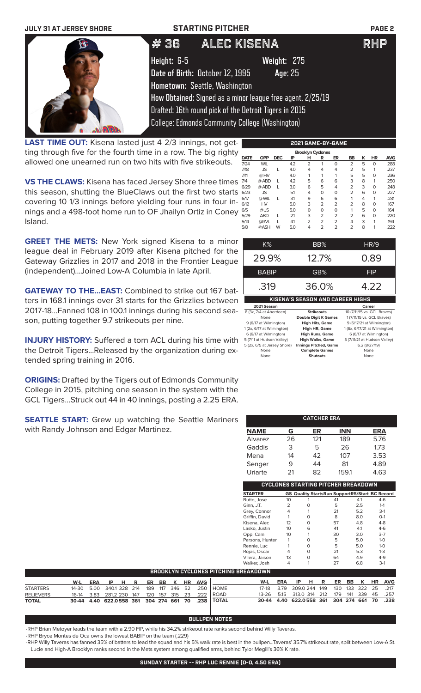| <b>JULY 31 AT JERSEY SHORE</b>                                   | <b>STARTING PITCHER</b>         |                                                            | <b>PAGE 2</b> |
|------------------------------------------------------------------|---------------------------------|------------------------------------------------------------|---------------|
|                                                                  | #36                             | ALEC KISENA                                                | <b>RHP</b>    |
|                                                                  | Height: 6-5                     | Weight: 275                                                |               |
|                                                                  | Date of Birth: October 12, 1995 | Age: 25                                                    |               |
|                                                                  | Hometown: Seattle, Washington   |                                                            |               |
|                                                                  |                                 | How Obtained: Signed as a minor league free agent, 2/25/19 |               |
|                                                                  |                                 | Drafted: 16th round pick of the Detroit Tigers in 2015     |               |
|                                                                  |                                 | <b>College: Edmonds Community College (Washington)</b>     |               |
| <b>LAST TIME OUT:</b> Kisena lasted just 4 2/3 innings, not get- |                                 | 2021 GAME-BY-GAME                                          |               |

**LAST TIME OUT:** Kisena lasted just 4 2/3 innings, not getting through five for the fourth time in a row. The big righty allowed one unearned run on two hits with five strikeouts.

**VS THE CLAWS:** Kisena has faced Jersey Shore three times this season, shutting the BlueClaws out the first two starts covering 10 1/3 innings before yielding four runs in four innings and a 498-foot home run to OF Jhailyn Ortiz in Coney Island.

**GREET THE METS:** New York signed Kisena to a minor league deal in February 2019 after Kisena pitched for the Gateway Grizzlies in 2017 and 2018 in the Frontier League (independent)...Joined Low-A Columbia in late April.

**GATEWAY TO THE...EAST:** Combined to strike out 167 batters in 168.1 innings over 31 starts for the Grizzlies between 2017-18...Fanned 108 in 100.1 innings during his second season, putting together 9.7 strikeouts per nine.

**INJURY HISTORY:** Suffered a torn ACL during his time with the Detroit Tigers...Released by the organization during extended spring training in 2016.

**ORIGINS:** Drafted by the Tigers out of Edmonds Community College in 2015, pitching one season in the system with the GCL Tigers...Struck out 44 in 40 innings, posting a 2.25 ERA.

**SEATTLE START:** Grew up watching the Seattle Mariners with Randy Johnson and Edgar Martinez.

|             | <b>Brooklyn Cyclones</b> |            |     |                |                 |                |                |   |           |            |  |
|-------------|--------------------------|------------|-----|----------------|-----------------|----------------|----------------|---|-----------|------------|--|
| <b>DATE</b> | <b>OPP</b>               | <b>DEC</b> | IP  | н              | R               | ER             | BB             | ĸ | <b>HR</b> | <b>AVG</b> |  |
| 7/24        | <b>WIL</b>               |            | 4.2 | $\overline{2}$ | 1               | 0              | $\overline{2}$ | 5 | $\Omega$  | .288       |  |
| 7/18        | <b>JS</b>                | L          | 4.0 | 4              | 4               | 4              | 2              | 5 | 1         | .237       |  |
| 7/11        | @HV                      |            | 4.0 | 1              | 1               | 1              | 5              | 5 | 0         | .236       |  |
| 7/4         | @ ABD                    | L          | 4.2 | 5              | 6               | 6              | 3              | 8 | 1         | .250       |  |
| 6/29        | @ ABD                    | L          | 3.0 | 6              | 5               | 4              | $\overline{2}$ | 3 | $\Omega$  | .248       |  |
| 6/23        | <b>JS</b>                |            | 5.1 | 4              | $\Omega$        | 0              | 2              | 6 | $\Omega$  | .227       |  |
| 6/17        | @ WIL                    | L          | 31  | 9              | 6               | 6              | 1              | 4 | 1         | .231       |  |
| 6/12        | <b>HV</b>                |            | 5.0 | 3              | $\overline{2}$  | $\overline{2}$ | 2              | 8 | $\Omega$  | .167       |  |
| 6/5         | $@$ JS                   |            | 5.0 | 0              | 0               | 0              | 1              | 5 | $\Omega$  | .164       |  |
| 5/29        | <b>ABD</b>               | L          | 21  | 3              | $\overline{2}$  | $\overline{2}$ | 2              | 6 | $\Omega$  | .220       |  |
| 5/14        | @GVL                     |            | 41  | $\overline{2}$ | $\overline{2}$  | $\overline{2}$ | 4              | 3 | 1         | .194       |  |
| 5/8         | @ASH                     | W          | 5.0 | 4              | $\overline{2}$  | $\overline{2}$ | 2              | 8 | 1         | .222       |  |
|             |                          |            |     |                |                 |                |                |   |           |            |  |
|             | 170/                     |            |     |                | DD <sub>0</sub> |                |                |   | 11D/2     |            |  |

| $K\%$                                   | BB%               | <b>HR/9</b>                 |  |  |  |  |  |  |
|-----------------------------------------|-------------------|-----------------------------|--|--|--|--|--|--|
| 29.9%                                   | 12.7%             | 0.89                        |  |  |  |  |  |  |
| <b>BABIP</b>                            | GB%               | <b>FIP</b>                  |  |  |  |  |  |  |
| .319                                    | 36.0%             | 4.22                        |  |  |  |  |  |  |
| <b>KISENA'S SEASON AND CAREER HIGHS</b> |                   |                             |  |  |  |  |  |  |
| 2021 Season                             |                   | Career                      |  |  |  |  |  |  |
| 8 (3x, 7/4 at Aberdeen)                 | <b>Strikeouts</b> | 10 (7/11/15 vs. GCL Braves) |  |  |  |  |  |  |

| 8 (3x, 7/4 at Aberdeen)     | <b>Strikeouts</b>            | 10 (7/11/15 vs. GCL Braves)   |
|-----------------------------|------------------------------|-------------------------------|
| None                        | <b>Double Digit K Games</b>  | 1 (7/11/15 vs. GCL Braves)    |
| 9 (6/17 at Wilmington)      | <b>High Hits, Game</b>       | 9 (6/17/21 at Wilmington)     |
| 1 (2x, 6/17 at Wilmington)  | <b>High HR, Game</b>         | 1 (6x, 6/17/21 at Wilmington) |
| 6 (6/17 at Wilmington)      | <b>High Runs, Game</b>       | 6 (6/17 at Wilmington)        |
| 5 (7/11 at Hudson Valley)   | <b>High Walks, Game</b>      | 5 (7/11/21 at Hudson Valley)  |
| 5 (2x, 6/5 at Jersey Shore) | <b>Innings Pitched, Game</b> | 6.2(8/27/19)                  |
| None                        | <b>Complete Games</b>        | None                          |
| None                        | Shutouts                     | None                          |

|                                            | <b>CATCHER ERA</b> |     |            |                                                       |  |  |  |  |  |  |  |
|--------------------------------------------|--------------------|-----|------------|-------------------------------------------------------|--|--|--|--|--|--|--|
| <b>NAME</b>                                | G                  | ER  | <b>INN</b> | <b>ERA</b>                                            |  |  |  |  |  |  |  |
| Alvarez                                    | 26                 | 121 | 189        | 5.76                                                  |  |  |  |  |  |  |  |
| Gaddis                                     | 3                  | 5   | 26         | 1.73                                                  |  |  |  |  |  |  |  |
| Mena                                       | 14                 | 42  | 107        | 3.53                                                  |  |  |  |  |  |  |  |
| Senger                                     | 9                  | 44  | 81         | 4.89                                                  |  |  |  |  |  |  |  |
| Uriarte                                    | 21                 | 82  | 159.1      | 4.63                                                  |  |  |  |  |  |  |  |
| <b>CYCLONES STARTING PITCHER BREAKDOWN</b> |                    |     |            |                                                       |  |  |  |  |  |  |  |
| <b>STARTER</b>                             |                    |     |            | <b>GS Quality StartsRun SupportRS/Start BC Record</b> |  |  |  |  |  |  |  |
| Rutto losa                                 | $1 \cap$           |     | $\Delta$ 1 | Δ1<br>$4-6$                                           |  |  |  |  |  |  |  |

| <b>STARTER</b>  |    |          | <b>GS Quality StartsRun SupportRS/Start BC Record</b> |     |         |
|-----------------|----|----------|-------------------------------------------------------|-----|---------|
| Butto, Jose     | 10 |          | 41                                                    | 4.1 | $4-6$   |
| Ginn, J.T.      | 2  | O        | 5                                                     | 2.5 | $1 - 1$ |
| Grey, Connor    | 4  |          | 21                                                    | 5.2 | $3-1$   |
| Griffin, David  |    | 0        | 8                                                     | 8.0 | $O-1$   |
| Kisena, Alec    | 12 | $\Omega$ | 57                                                    | 4.8 | $4 - 8$ |
| Lasko, Justin   | 10 | 6        | 41                                                    | 4.1 | $4-6$   |
| Opp, Cam        | 10 | 1        | 30                                                    | 3.0 | $3-7$   |
| Parsons, Hunter |    | O        | 5                                                     | 5.0 | $1 - 0$ |
| Rennie, Luc     |    | O        | 5                                                     | 5.0 | $1 - 0$ |
| Rojas, Oscar    | 4  | O        | 21                                                    | 5.3 | $1-3$   |
| Vilera, Jaison  | 13 | O        | 64                                                    | 4.9 | $4 - 9$ |
| Walker, Josh    |    |          | 27                                                    | 6.8 | $3-1$   |

| BROOKLYN CYCLONES PITCHING BREAKDOWN |                                              |  |          |  |  |  |  |  |  |                |                                                   |                                              |     |      |  |  |  |                     |
|--------------------------------------|----------------------------------------------|--|----------|--|--|--|--|--|--|----------------|---------------------------------------------------|----------------------------------------------|-----|------|--|--|--|---------------------|
|                                      | W-L                                          |  | ERA IPHR |  |  |  |  |  |  | ER BB K HR AVG |                                                   | W-L                                          | ERA | IPHR |  |  |  | ER BB K HR AVG      |
| <b>STARTERS</b>                      | 14-30 5.00 340.1 328 214 189 117 346 52 .250 |  |          |  |  |  |  |  |  |                | <b>I</b> HOME                                     | 17-18 3.79 309.0 244 149                     |     |      |  |  |  | 130 133 322 25 .217 |
| <b>RELIEVERS</b>                     |                                              |  |          |  |  |  |  |  |  |                | 16-14 3.83 281.2 230 147 120 157 315 23 .222 ROAD | 13-26 5.15 313.0 314 212 179 141 339 45 .257 |     |      |  |  |  |                     |
| <b>TOTAL</b>                         |                                              |  |          |  |  |  |  |  |  |                | 30-44 4.40 622.0558 361 304 274 661 70 .238 TOTAL | 30-44 4.40 622.0558 361 304 274 661 70 .238  |     |      |  |  |  |                     |

### **BULLPEN NOTES**

-RHP Brian Metoyer leads the team with a 2.90 FIP, while his 34.2% strikeout rate ranks second behind Willy Taveras.

-RHP Bryce Montes de Oca owns the lowest BABIP on the team (.229)

-RHP Willy Taveras has fanned 35% of batters to lead the squad and his 5% walk rate is best in the bullpen...Taveras' 35.7% strikeout rate, split between Low-A St. Lucie and High-A Brooklyn ranks second in the Mets system among qualified arms, behind Tylor Megill's 36% K rate.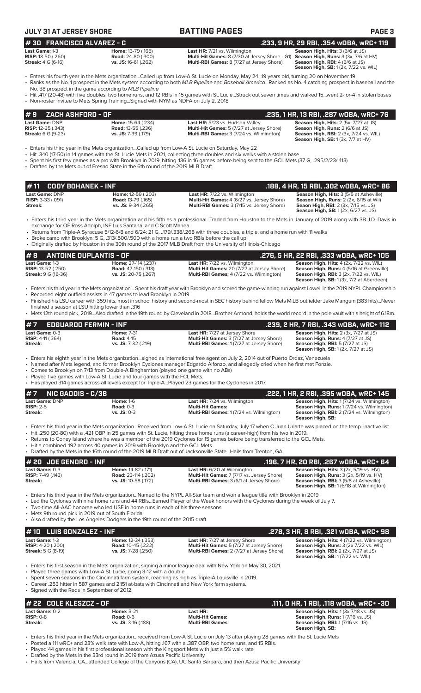| JLY 31 AT JERSEY SHORE |
|------------------------|
| __ _________________   |

| <b>JULY 31 AT JERSEY SHORE</b>                                                        |                                                                                                                                                                       | <b>BATTING PAGES</b>                                                                                                                                                                                                                                                                                                                                                                                                        | <b>PAGE 3</b>                                                                                                                                                                                                        |
|---------------------------------------------------------------------------------------|-----------------------------------------------------------------------------------------------------------------------------------------------------------------------|-----------------------------------------------------------------------------------------------------------------------------------------------------------------------------------------------------------------------------------------------------------------------------------------------------------------------------------------------------------------------------------------------------------------------------|----------------------------------------------------------------------------------------------------------------------------------------------------------------------------------------------------------------------|
| #30 FRANCISCO ALVAREZ - C                                                             |                                                                                                                                                                       |                                                                                                                                                                                                                                                                                                                                                                                                                             | .233, 9 HR, 29 RBI, .354 wOBA, wRC+ 119                                                                                                                                                                              |
| Last Game: 1-3<br><b>RISP:</b> 13-50 (.260)<br><b>Streak:</b> 4 G (6-16)              | Home: 13-79 (.165)<br><b>Road:</b> 24-80 (.300)<br>vs. JS: 16-61 (.262)                                                                                               | Last HR: 7/21 vs. Wilmington<br>Multi-Hit Games: 8 (7/30 at Jersey Shore - G1) Season High, Runs: 3 (3x, 7/6 at HV)<br>Multi-RBI Games: 8 (7/27 at Jersey Shore)                                                                                                                                                                                                                                                            | Season High, Hits: 3 (6/6 at JS)<br>Season High, RBI: 4 (6/6 at JS)<br>Season High, SB: 1 (2x, 7/22 vs. WIL)                                                                                                         |
|                                                                                       | No. 38 prospect in the game according to MLB Pipeline                                                                                                                 | Fiters his fourth year in the Mets organizationCalled up from Low-A St. Lucie on Monday, May 2419 years old, turning 20 on November 19<br>· Ranks as the No. 1 prospect in the Mets system according to both MLB Pipeline and Baseball AmericaRanked as No. 4 catching prospect in baseball and the                                                                                                                         |                                                                                                                                                                                                                      |
|                                                                                       | • Non-roster invitee to Mets Spring TrainingSigned with NYM as NDFA on July 2, 2018                                                                                   | • Hit .417 (20-48) with five doubles, two home runs, and 12 RBIs in 15 games with St. LucieStruck out seven times and walked 15went 2-for-4 in stolen bases                                                                                                                                                                                                                                                                 |                                                                                                                                                                                                                      |
| ZACH ASHFORD - OF<br>#9                                                               |                                                                                                                                                                       |                                                                                                                                                                                                                                                                                                                                                                                                                             | .235, 1 HR, 13 RBI, .287 wOBA, wRC+ 76                                                                                                                                                                               |
| Last Game: DNP<br><b>RISP:</b> 12-35 (.343)<br><b>Streak:</b> 6 G (9-23)              | Home: 15-64 (.234)<br><b>Road: 13-55 (.236)</b><br>vs. JS: 7-39 (.179)                                                                                                | Last HR: 5/23 vs. Hudson Valley<br>Multi-Hit Games: 5 (7/27 at Jersey Shore)<br>Multi-RBI Games: 3 (7/24 vs. Wilmington)                                                                                                                                                                                                                                                                                                    | Season High, Hits: 2 (5x, 7/27 at JS)<br>Season High, Runs: 2 (6/6 at JS)<br><b>Season High, RBI:</b> 2 (3x, 7/24 vs. WIL)<br><b>Season High, SB: 1 (3x, 7/7 at HV)</b>                                              |
|                                                                                       | • Drafted by the Mets out of Fresno State in the 6th round of the 2019 MLB Draft                                                                                      | Enters his third year in the Mets organizationCalled up from Low-A St. Lucie on Saturday, May 22 •<br>• Hit .340 (17-50) in 14 games with the St. Lucie Mets in 2021, collecting three doubles and six walks with a stolen base<br>• Spent his first few games as a pro with Brooklyn in 2019, hitting .136 in 16 games before being sent to the GCL Mets (37 G, .295/2/23/.413)                                            |                                                                                                                                                                                                                      |
| <b>CODY BOHANEK - INF</b><br>#11                                                      |                                                                                                                                                                       |                                                                                                                                                                                                                                                                                                                                                                                                                             | .188, 4 HR, 15 RBI, .302 w0BA, wRC+ 86                                                                                                                                                                               |
| Last Game: DNP<br>RISP: 3-33 (.091)<br>Streak:                                        | Home: 12-59 (.203)<br><b>Road: 13-79 (.165)</b><br>vs. JS: 9-34 (.265)                                                                                                | <b>Last HR:</b> 7/22 vs. Wilmington<br>Multi-Hit Games: 4 (6/27 vs. Jersey Shore)<br>Multi-RBI Games: 3 (7/15 vs. Jersey Shore)                                                                                                                                                                                                                                                                                             | Season High, Hits: 3 (5/5 at Asheville)<br>Season High, Runs: 2 (2x, 6/15 at Wil)<br><b>Seaon High, RBI:</b> 2 (3x, 7/15 vs. JS)<br><b>Season High, SB:</b> 1 (2x, 6/27 vs. JS)                                      |
|                                                                                       | exchange for OF Ross Adolph, INF Luis Santana, and C Scott Manea<br>• Broke camp with Brooklyn: 5 G, .313/.500/.500 with a home run a two RBIs before the call up     | • Enters his third year in the Mets organization and his fifth as a professionalTraded from Houston to the Mets in January of 2019 along with 3B J.D. Davis in<br>• Returns from Triple-A Syracuse 5/12-6/8 and 6/24: 21 G, 179/.338/.268 with three doubles, a triple, and a home run with 11 walks                                                                                                                        |                                                                                                                                                                                                                      |
|                                                                                       |                                                                                                                                                                       | • Originally drafted by Houston in the 30th round of the 2017 MLB Draft from the University of Illinois-Chicago                                                                                                                                                                                                                                                                                                             |                                                                                                                                                                                                                      |
| #8<br><b>ANTOINE DUPLANTIS - OF</b><br>Last Game: 1-3                                 | Home: 27-114 (.237)                                                                                                                                                   | Last HR: 7/22 vs. Wilmington                                                                                                                                                                                                                                                                                                                                                                                                | .276, 5 HR, 22 RBI, .333 wOBA, wRC+ 105<br>Season High, Hits: 4 (2x, 7/22 vs. WIL)                                                                                                                                   |
| <b>RISP:</b> 13-52 (.250)<br><b>Streak: 9 G (16-36)</b>                               | <b>Road:</b> 47-150 (.313)<br>vs. JS: 20-75 (.267)                                                                                                                    | Multi-Hit Games: 20 (7/27 at Jersey Shore)<br>Multi-RBI Games: 4 (7/22 vs. Wilmington)                                                                                                                                                                                                                                                                                                                                      | Season High, Runs: 4 (5/16 at Greenville)<br><b>Season High, RBI:</b> 3 (2x, 7/22 vs. WIL)<br>Season High, SB: 1 (3x, 7/2 at Aberdeen)                                                                               |
|                                                                                       | • Recorded eight outfield assists in 47 games to lead Brooklyn in 2019                                                                                                | · Enters his third year in the Mets organization Spent his draft year with Brooklyn and scored the game-winning run against Lowell in the 2019 NYPL Championship                                                                                                                                                                                                                                                            |                                                                                                                                                                                                                      |
| finished a season at LSU hitting lower than .316                                      |                                                                                                                                                                       | • Finished his LSU career with 359 hits, most in school history and second-most in SEC history behind fellow Mets MiLB outfielder Jake Mangum (383 hits)Never                                                                                                                                                                                                                                                               |                                                                                                                                                                                                                      |
|                                                                                       |                                                                                                                                                                       | • Mets 12th round pick, 2019Also drafted in the 19th round by Cleveland in 2018Brother Armond, holds the world record in the pole vault with a height of 6.18m.                                                                                                                                                                                                                                                             |                                                                                                                                                                                                                      |
| <b>EDGUARDO FERMIN - INF</b><br>Last Game: 0-3<br><b>RISP:</b> 4-11 (.364)<br>Streak: | <b>Home: 7-31</b><br><b>Road: 4-15</b><br>vs. JS: 7-32 (.219)                                                                                                         | Last HR: 7/27 at Jersey Shore<br><b>Multi-Hit Games:</b> 3 (7/27 at Jersey Shore)<br>Multi-RBI Games: 1 (7/27 at Jersey Shore)                                                                                                                                                                                                                                                                                              | .239, 2 HR, 7 RBI, .343 WOBA, WRC+ 112<br>Season High, Hits: 2 (3x, 7/27 at JS)<br><b>Season High, Runs:</b> 4 (7/27 at JS)<br><b>Season High, RBI: 5 (7/27 at JS)</b><br><b>Season High, SB:</b> 1 (2x, 7/27 at JS) |
|                                                                                       | • Comes to Brooklyn on 7/13 from Double-A Binghamton (played one game with no ABs)<br>• Played five games with Low-A St. Lucie and four games with the FCL Mets.      | • Enters his eighth year in the Mets organizationsigned as international free agent on July 2, 2014 out of Puerto Ordaz, Venezuela<br>• Named after Mets legend, and former Brooklyn Cyclones manager Edgardo Alfonzo, and allegedly cried when he first met Fonzie.<br>• Has played 314 games across all levels except for Triple-APlayed 23 games for the Cyclones in 2017.                                               |                                                                                                                                                                                                                      |
| #7<br><b>NIC GADDIS - C/3B</b>                                                        |                                                                                                                                                                       |                                                                                                                                                                                                                                                                                                                                                                                                                             | .222, 1 HR, 2 RBI, .395 wOBA, wRC+ 145                                                                                                                                                                               |
| Last Game: DNP<br><b>RISP: 2-5</b><br>Streak:                                         | <b>Home: 1-6</b><br><b>Road: 0-3</b><br>$vs.$ JS: 0-3                                                                                                                 | <b>Last HR:</b> 7/24 vs. Wilmington<br><b>Multi-Hit Games:</b><br>Multi-RBI Games: 1 (7/24 vs. Wilmington)                                                                                                                                                                                                                                                                                                                  | Season High, Hits: 1 (7/24 vs. Wilmington)<br>Season High, Runs: 1 (7/24 vs. Wilmington)<br><b>Season High, RBI:</b> 2 (7/24 vs. Wilmington)<br>Season High, SB:                                                     |
|                                                                                       | • Hit a combined .192 across 40 games in 2019 with Brooklyn and the GCL Mets                                                                                          | · Enters his third year in the Mets organizationReceived from Low-A St. Lucie on Saturday, July 17 when C Juan Uriarte was placed on the temp. inactive list<br>• Hit .250 (20-80) with a .421 OBP in 25 games with St. Lucie, hitting three home runs (a career-high) from his two in 2019.<br>• Returns to Coney Island where he was a member of the 2019 Cyclones for 15 games before being transferred to the GCL Mets. |                                                                                                                                                                                                                      |
|                                                                                       |                                                                                                                                                                       | • Drafted by the Mets in the 16th round of the 2019 MLB Draft out of Jacksonville StateHails from Trenton, GA.                                                                                                                                                                                                                                                                                                              |                                                                                                                                                                                                                      |
| # 20 JOE GENORD - INF<br>Last Game: 0-3                                               | Home: 14-82 (.171)                                                                                                                                                    | <b>Last HR:</b> 6/20 at Wilmington                                                                                                                                                                                                                                                                                                                                                                                          | .196, 7 HR, 20 RBI, .267 w0BA, wRC+ 64<br>Season High, Hits: 3 (2x, 5/19 vs. HV)                                                                                                                                     |
| RISP: 7-49 (.143)<br>Streak:                                                          | Road: 23-114 (.202)<br>vs. JS: 10-58 (.172)                                                                                                                           | Multi-Hit Games: 7 (7/17 vs. Jersey Shore)<br>Multi-RBI Games: 3 (6/1 at Jersey Shore)                                                                                                                                                                                                                                                                                                                                      | Season High, Runs: 3 (2x, 5/19 vs. HV)<br>Season High, RBI: 3 (5/8 at Asheville)<br><b>Season High, SB: 1 (6/18 at Wilmington)</b>                                                                                   |
| • Mets 9th round pick in 2019 out of South Florida                                    | • Two-time All-AAC honoree who led USF in home runs in each of his three seasons<br>• Also drafted by the Los Angeles Dodgers in the 19th round of the 2015 draft.    | • Enters his third year in the Mets organizationNamed to the NYPL All-Star team and won a league title with Brooklyn in 2019<br>• Led the Cyclones with nine home runs and 44 RBIsEarned Player of the Week honors with the Cyclones during the week of July 7.                                                                                                                                                             |                                                                                                                                                                                                                      |
| #10 LUIS GONZALEZ - INF                                                               |                                                                                                                                                                       |                                                                                                                                                                                                                                                                                                                                                                                                                             | .278, 3 HR, 8 RBI, .321 wOBA, wRC+ 98                                                                                                                                                                                |
| Last Game: 1-3<br>RISP: 4-20 (.200)<br><b>Streak:</b> 5 G (8-19)                      | Home: 12-34 (.353)<br><b>Road: 10-45 (.222)</b><br>vs. JS: 7-28 (.250)                                                                                                | Last HR: 7/27 at Jersey Shore<br>Multi-Hit Games: 5 (7/27 at Jersey Shore)<br>Multi-RBI Games: 2 (7/27 at Jersey Shore)                                                                                                                                                                                                                                                                                                     | Season High, Hits: 4 (7/22 vs. Wilmington)<br>Season High, Runs: 3 (2x 7/22 vs. WIL)<br><b>Season High, RBI:</b> 2 (2x, 7/27 at JS)<br><b>Season High, SB: 1 (7/22 vs. WIL)</b>                                      |
| • Signed with the Reds in September of 2012.                                          | • Played three games with Low-A St. Lucie, going 3-12 with a double<br>• Career .253 hitter in 587 games and 2.151 at-bats with Cincinnati and New York farm systems. | • Enters his first season in the Mets organization, signing a minor league deal with New York on May 30, 2021.<br>• Spent seven seasons in the Cincinnati farm system, reaching as high as Triple-A Louisville in 2019.                                                                                                                                                                                                     |                                                                                                                                                                                                                      |
| # 22 COLE KLESZCZ - OF                                                                |                                                                                                                                                                       |                                                                                                                                                                                                                                                                                                                                                                                                                             | .111, O HR, 1 RBI, .118 wOBA, wRC+ -30                                                                                                                                                                               |
| Last Game: 0-2<br><b>RISP: 0-8</b><br>Streak:                                         | <b>Home: 3-21</b><br><b>Road: 0-6</b><br>vs. JS: 3-16 (.188)                                                                                                          | Last HR:<br><b>Multi-Hit Games:</b><br><b>Multi-RBI Games:</b>                                                                                                                                                                                                                                                                                                                                                              | Season High, Hits: 1 (3x 7/18 vs. JS)<br>Season High, Runs: 1 (7/16 vs. JS)<br>Season High, RBI: 1 (7/16 vs. JS)<br>Season High, SB:                                                                                 |

- Enters his third year in the Mets organization...received from Low-A St. Lucie on July 13 after playing 28 games with the St. Lucie Mets
- Posted a 111 wRC+ and 23% walk rate with Low-A, hitting .167 with a .387 OBP, two home runs, and 15 RBIs.
- Played 44 games in his first professional season with the Kingsport Mets with just a 5% walk rate
- Drafted by the Mets in the 33rd round in 2019 from Azusa Pacific University
- Hails from Valencia, CA...attended College of the Canyons (CA), UC Santa Barbara, and then Azusa Pacific University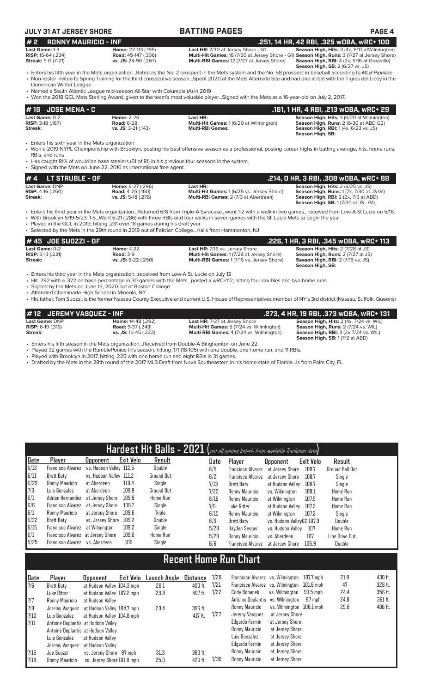# **JULY 31 AT JERSEY SHORE BATTING PAGES PAGE 4**

**# 2** RONNY MAURICIO - INF<br>Last HR: 7/30 at Jersey Shore - G1 Season High, Hits: 3 (4x, 6/17 atWilmingto<br>RISP: 15-64 (.234) RISP: 15-64 (.234) Road: 45-147 (.306) Multi-Hit Games: 18 (7/30 at Jersey Shore - G1) Season High **Last Game:** 1-3 **Home:** 22-113 (.195) **Last HR:** 7/30 at Jersey Shore - G1 **Season High, Hits:** 3 (4x, 6/17 atWilmington) **RISP:** 15-64 (.234) **Road:** 45-147 (.306) **Multi-Hit Games:** 18 (7/30 at Jersey Shore - G1) **Season High, Runs:** 3 (7/27 at Jersey Shore) **Streak:** 5 G (7-21) **Product Finance 12 (1999) Contract Finance 12** (1999) **Multi-RBI Games:** 18 (7/30 at Jersey Shore - **Streak:** 5 G (7-21) **vs. JS:** 24-90 (.267) **Multi-RBI Games:** 12 (7/27 at Jersey Shore) **Season High, RBI:** 4 (2x, 5/16 at Greeville)<br>**Season High, SB:** 2 (6/27 vs. JS)

• Enters his fifth year in the Mets organization...Rated as the No. 2 prospect in the Mets system and the No. 58 prospect in baseball according to *MLB Pipeline* • Non-roster invitee to Spring Training for the third consecutive season...Spent 2020 at the Mets Alternate Site and had one at-bat with the Tigres del Licey in the Dominican Winter League

• Named a South Atlantic League mid-season All-Star with Columbia (A) in 2019

-<br>avor Signed with the Mets as a 16 year old on July 2, 2017.

|                                                                    |                                                                               | . We are the sole of the stem by Amaru, given to the team's most valuable playerSighed with the Mets as a To-year-old on July 2, 2017.                                                                                                                                                                                                                                                                   |                                                                                                                                                                                            |
|--------------------------------------------------------------------|-------------------------------------------------------------------------------|----------------------------------------------------------------------------------------------------------------------------------------------------------------------------------------------------------------------------------------------------------------------------------------------------------------------------------------------------------------------------------------------------------|--------------------------------------------------------------------------------------------------------------------------------------------------------------------------------------------|
| #16<br><b>JOSE MENA - C</b>                                        |                                                                               |                                                                                                                                                                                                                                                                                                                                                                                                          | .161, 1 HR, 4 RBI, .213 wOBA, wRC+ 29                                                                                                                                                      |
| Last Game: 0-2<br><b>RISP: 3-18 (.167)</b><br>Streak:              | <b>Home: 2-26</b><br><b>Road: 6-28</b><br>$vs.$ JS: 3-21 (.143)               | Last HR:<br>Multi-Hit Games: 1 (6/20 at Wilmington)<br><b>Multi-RBI Games:</b>                                                                                                                                                                                                                                                                                                                           | Season High, Hits: 3 (6/20 at Wilmington)<br><b>Season High, Runs: 2 (6/30 at ABD G2)</b><br><b>Season High, RBI:</b> 1 (4x, 6/23 vs. JS)<br>Season High, SB:                              |
| • Enters his sixth year in the Mets organization<br>RBIs, and runs | • Signed with the Mets on June 22, 2016 as international free agent.          | • Won a 2019 NYPL Championship with Brooklyn, posting his best offensive season as a professional, posting career highs in batting average, hits, home runs,<br>• Has caught 81% of would-be base stealers (51 of 81) in his previous four seasons in the system.                                                                                                                                        |                                                                                                                                                                                            |
| #4<br>LT STRUBLE - OF                                              |                                                                               |                                                                                                                                                                                                                                                                                                                                                                                                          | .214, 0 HR, 3 RBI, .308 w0BA, wRC+ 89                                                                                                                                                      |
| Last Game: DNP<br><b>RISP:</b> $4-16$ (.250)<br>Streak:            | Home: 8-27 (.296)<br><b>Road: 4-25 (.160)</b><br>vs. JS: 5-18 (.278)          | Last HR:<br>Multi-Hit Games: 1 (6/25 vs. Jersey Shore)<br>Multi-RBI Games: 2 (7/3 at Aberdeen)                                                                                                                                                                                                                                                                                                           | <b>Season High, Hits: 2 (6/25 vs. JS)</b><br><b>Season High, Runs: 1 (7x, 7/30 at JS G1)</b><br><b>Season High, RBI:</b> 2 (2x, 7/3 at ABD)<br><b>Season High, SB:</b> 1 (7/30 at JS - G1) |
|                                                                    | . Played in the GCL in 2019, hitting .231 over 18 games during his draft year | • Enters his third year in the Mets organizationReturned 6/8 from Triple-A Syracusewent 1-2 with a walk in two gamesreceived from Low-A St Lucie on 5/18.<br>• With Brooklyn 5/19-5/23: 1-5Went 6-21 (.286) with three RBIs and four walks in seven games with the St. Lucie Mets to begin the year<br>• Selected by the Mets in the 29th round in 2019 out of Felician College Hails from Hammonton, NJ |                                                                                                                                                                                            |
| JOE SUOZZI - OF                                                    |                                                                               |                                                                                                                                                                                                                                                                                                                                                                                                          | .226, 1 HR, 3 RBI, .345 wOBA, wRC+ 113                                                                                                                                                     |
| Last Game: 0-2                                                     | <b>Home: 4-22</b>                                                             | Last HR: 7/16 vs. Jersey Shore                                                                                                                                                                                                                                                                                                                                                                           | Season High, Hits: 2 (7/28 at JS)                                                                                                                                                          |

| 17 TU UULUULLI UI            |                       |                                                   |                                                              |  |
|------------------------------|-----------------------|---------------------------------------------------|--------------------------------------------------------------|--|
| Last Game: 0-2               | <b>Home: 4-22</b>     | <b>Last HR:</b> 7/16 vs. Jersey Shore             | <b>Season High, Hits: 2 (7/28 at JS)</b>                     |  |
| <b>RISP:</b> $3-13$ $(.231)$ | <b>Road: 3-9</b>      | <b>Multi-Hit Games: 1 (7/28 at Jersey Shore)</b>  | <b>Season High, Runs: 2 (7/27 at JS)</b>                     |  |
| Streak:                      | $vs.$ JS: 5-22 (.250) | <b>Multi-RBI Games: 1 (7/16 vs. Jersey Shore)</b> | <b>Season High, RBI:</b> 2 (7/16 vs. JS)<br>Season High, SB: |  |
|                              |                       |                                                   |                                                              |  |

• Enters his third year in the Mets organization...received from Low-A St. Lucie on July 13

• Hit .292 with a .372 on-base percentage in 30 games with the Mets...posted a wRC+112, hitting four doubles and two home runs

• Signed by the Mets on June 15, 2020 out of Boston College

• Attended Chaminade High School in Mineola, NY

• His father, Tom Suozzi, is the former Nassau County Executive and current U.S. House of Representatives member of NY's 3rd district (Nassau, Suffolk, Queens)

| #12 JEREMY VASOUEZ - INF                       |                                                       |                                                                                         | .273, 4 HR, 19 RBI, .373 wOBA, wRC+ 131                                                |
|------------------------------------------------|-------------------------------------------------------|-----------------------------------------------------------------------------------------|----------------------------------------------------------------------------------------|
| Last Game: DNP<br><b>RISP:</b> $6-19$ $(.316)$ | <b>Home:</b> 14-48 (.292)<br><b>Road: 9-37 (.243)</b> | <b>Last HR:</b> 7/27 at Jersey Shore<br><b>Multi-Hit Games:</b> 5 (7/24 vs. Wilmington) | Season High, Hits: 2 (4x, 7/24 vs. WIL)<br>Season High, Runs: 2 (7/24 vs. WIL)         |
| Streak:                                        | vs. JS: 10-45 (.222)                                  | <b>Multi-RBI Games:</b> 4 (7/24 vs. Wilmington)                                         | <b>Season High, RBI: 3 (2x 7/24 vs. WIL)</b><br><b>Season High, SB: 1 (7/2 at ABD)</b> |

• Enters his fifth season in the Mets organization...Received from Double-A Binghamton on June 22

• Played 32 games with the RumblePonies this season, hitting .171 (18-105) with one double, one home run, and 11 RBIs.

• Played with Brooklyn in 2017, hitting .225 with one home run and eight RBIs in 31 games.

• Drafted by the Mets in the 28th round of the 2017 MLB Draft from Nova Southeastern in his home state of Florida...Is from Palm City, FL.

|      |                                   |                         |           |                   |      | Hardest Hit Balls - 2021 (not all games listed- from available Trackman data) |                           |           |                        |
|------|-----------------------------------|-------------------------|-----------|-------------------|------|-------------------------------------------------------------------------------|---------------------------|-----------|------------------------|
| Date | Player                            | <b>Opponent</b>         | Exit Velo | Result            | Date | Player                                                                        | <b>Opponent</b>           | Exit Velo | Result                 |
| 6/12 | <b>Francisco Alvarez</b>          | vs. Hudson Valley 112.5 |           | Double            | 6/5  | <b>Francisco Alvarez</b>                                                      | at Jersev Shore           | 108.7     | <b>Ground Ball Out</b> |
| 6/11 | <b>Brett Baty</b>                 | vs. Hudson Valley 111.2 |           | <b>Ground Out</b> | 6/2  | <b>Francisco Alvarez</b>                                                      | at Jersey Shore           | 108.7     | Single                 |
| 6/29 | Ronny Mauricio                    | at Aberdeen             | 110.4     | Single            | 7/13 | <b>Brett Baty</b>                                                             | at Hudson Valley          | 108.7     | Single                 |
| 7/3  | Luis Gonzalez                     | at Aberdeen             | 109.9     | Ground Out        | 7/22 | Ronny Mauricio                                                                | vs. Wilminaton            | 108.1     | <b>Home Run</b>        |
| 6/1  | Adrian Hernandez                  | at Jersey Shore         | 109.8     | <b>Home Run</b>   | 6/16 | Ronny Mauricio                                                                | at Wilmington             | 107.5     | <b>Home Run</b>        |
| 6/6  | <b>Francisco Alvarez</b>          | at Jersev Shore         | 109.7     | Single            | 7/6  | Luke Ritter                                                                   | at Hudson Valley          | 107.2     | <b>Home Run</b>        |
| 6/1  | Ronny Mauricio                    | at Jersey Shore         | 109.6     | <b>Triple</b>     | 6/15 | Ronny Mauricio                                                                | at Wilmington             | 107.2     | Single                 |
| 6/22 | <b>Brett Baty</b>                 | vs. Jersey Shore        | 109.2     | Double            | 6/9  | <b>Brett Baty</b>                                                             | vs. Hudson VallevG2 107.3 |           | Double                 |
| 6/15 | <b>Francisco Alvarez</b>          | at Wilmington           | 109.2     | Sinale            | 5/23 | Hayden Senger                                                                 | vs. Hudson Valley         | 107       | <b>Home Run</b>        |
| 6/1  | Francisco Alvarez at Jersey Shore |                         | 109.0     | <b>Home Run</b>   | 5/29 | Ronny Mauricio                                                                | vs. Aberdeen              | 107       | Line Drive Out         |
| 5/25 | Francisco Alvarez vs. Aberdeen    |                         | 109       | Single            | 6/6  | <b>Francisco Alvarez</b>                                                      | at Jersev Shore           | 106.9     | Double                 |

# **Recent Home Run Chart**

| Date          | Player                             | Upponent                   | Exit Velo | Launch Angle | Distance | 7/20 | Francisco Alvarez vs. Wilmington 107.7 mph |                          |          | 21.8 | 430 ft. |
|---------------|------------------------------------|----------------------------|-----------|--------------|----------|------|--------------------------------------------|--------------------------|----------|------|---------|
| 1/6           | Brett Baty                         | at Hudson Valley 104.3 mph |           | 28.1         | 400 ft.  | 7/21 | Francisco Alvarez vs. Wilmington 101.6 mph |                          |          | 47   | 326 ft. |
|               | Luke Ritter                        | at Hudson Valley 107.2 mph |           | 23.3         | 407 ft.  | 7/22 | Cody Bohanek                               | vs. Wilminaton           | 99.5 mph | 24.4 | 356 ft. |
| 7/7           | Ronny Mauricio                     | at Hudson Valley           |           |              |          |      | Antoine Duplantis vs. Wilmington           |                          | 97 mph   | 24.8 | 361 ft. |
| 7/9           | Jeremy Vasquez                     | at Hudson Valley 104.7 mph |           | 23.4         | 396 ft.  |      | Ronny Mauricio                             | vs. Wilmington 108.1 mph |          | 29.8 | 406 ft. |
| 7/10          | Luis Gonzalez                      | at Hudson Valley 104.8 mph |           |              | 417 ft.  | 7/27 | Jeremy Vasquez                             | at Jersey Shore          |          |      |         |
| $\sqrt{7/11}$ | Antoine Duplantis at Hudson Valley |                            |           |              |          |      | Edgardo Fermin                             | at Jersey Shore          |          |      |         |
|               | Antoine Duplantis at Hudson Valley |                            |           |              |          |      | Ronny Mauricio                             | at Jersey Shore          |          |      |         |
|               | Luis Gonzalez                      | at Hudson Vallev           |           |              |          |      | Luis Gonzalez                              | at Jersey Shore          |          |      |         |
|               | Jeremy Vasquez                     | at Hudson Valley           |           |              |          |      | Edgardo Fermin                             | at Jersey Shore          |          |      |         |
| 7/16          | Joe Suozzi                         | vs. Jersey Shore 97 mph    |           | 31.3         | 380 ft.  |      | Ronny Mauricio                             | at Jersey Shore          |          |      |         |
| 7/18          | Ronny Mauricio                     | vs. Jersey Shore 101.8 mph |           | 25.9         | 426 ft.  | 7/30 | Ronny Mauricio                             | at Jersey Shore          |          |      |         |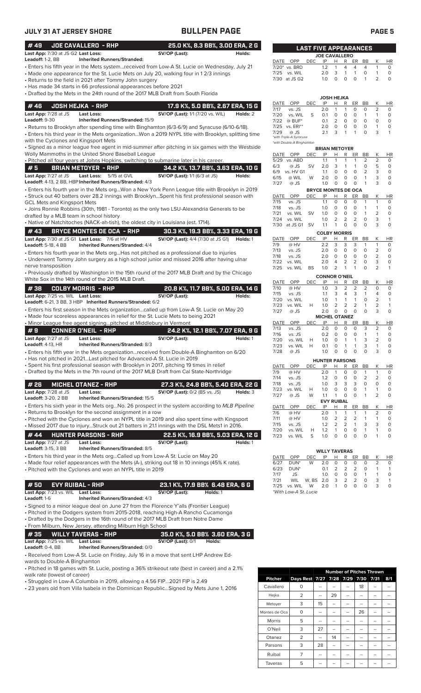| JULY 31 AT JERSEY SHORE                                                                                                                                                                                                                                                                                            | <b>BULLPEN PAGE</b>                                                         |          |                                                                                           |            |                                                      |                        |                                |                     | <b>PAGE 5</b>                     |                             |
|--------------------------------------------------------------------------------------------------------------------------------------------------------------------------------------------------------------------------------------------------------------------------------------------------------------------|-----------------------------------------------------------------------------|----------|-------------------------------------------------------------------------------------------|------------|------------------------------------------------------|------------------------|--------------------------------|---------------------|-----------------------------------|-----------------------------|
| #49<br><b>JOE CAVALLERO - RHP</b><br>Last App: 7/30 at JS G2 Last Loss:                                                                                                                                                                                                                                            | 25.0 K%, 8.3 BB%, 3.00 ERA, 2 G<br>SV/OP (Last):                            | Holds:   |                                                                                           |            | <b>LAST FIVE APPEARANCES</b><br><b>JOE CAVALLERO</b> |                        |                                |                     |                                   |                             |
| Leadoff: 1-2, BB<br><b>Inherited Runners/Stranded:</b>                                                                                                                                                                                                                                                             |                                                                             |          | DATE OPP                                                                                  | <b>DEC</b> | IP<br>H                                              | R                      | ER                             | BB                  | К                                 | <b>HR</b>                   |
| · Enters his fifth year in the Mets systemreceived from Low-A St. Lucie on Wednesday, July 21<br>• Made one appearance for the St. Lucie Mets on July 20, walking four in 12/3 innings<br>Returns to the field in 2021 after Tommy John surgery<br>• Has made 34 starts in 66 professional appearances before 2021 |                                                                             |          | 7/20* vs. BRD<br>7/25<br>vs. WIL<br>7/30 at JS G2                                         |            | 1.2<br>1<br>2.0<br>3<br>1.0<br>0                     | 4<br>$\mathbf{1}$<br>0 | 4<br>$\mathbf{1}$<br>$\circ$   | 4<br>0<br>-1        | $\mathbf{1}$<br>$\mathbf{1}$<br>2 | 0<br>O<br>$\circ$           |
| • Drafted by the Mets in the 24th round of the 2017 MLB Draft from South Florida                                                                                                                                                                                                                                   |                                                                             |          |                                                                                           |            |                                                      |                        |                                |                     |                                   |                             |
|                                                                                                                                                                                                                                                                                                                    |                                                                             |          | OPP<br>DATE                                                                               | DEC        | JOSH HEJKA<br>IP<br>н                                | R                      | ER                             | BB                  | К                                 | HR                          |
| #46<br><b>JOSH HEJKA - RHP</b><br>Last App: 7/28 at JS<br><b>Last Loss:</b>                                                                                                                                                                                                                                        | 17.9 K%, 5.0 BB%, 2.67 ERA, 15 G<br><b>SV/OP (Last):</b> 1/1 (7/20 vs. WIL) | Holds: 2 | 7/17<br>vs. JS                                                                            |            | 2.0<br>$\mathbf{1}$                                  | 1                      | 0                              | 0                   | $\overline{2}$                    | 0                           |
| <b>Leadoff: 9-30</b><br>Inherited Runners/Stranded: 15/9                                                                                                                                                                                                                                                           |                                                                             |          | 7/20<br>vs. WIL<br>$@$ BUF*<br>7/22                                                       | S          | $\circ$<br>0.1<br>2<br>0.1                           | 0<br>0                 | 0<br>$\circ$                   | $\mathbf{1}$<br>0   | $\mathbf{1}$<br>$\mathbf 0$       | 0<br>$\circ$                |
| • Returns to Brooklyn after spending time with Binghamton (6/3-6/9) and Syracuse (6/10-6/18).<br>· Enters his third year in the Mets organizationWon a 2019 NYPL title with Brooklyn, splitting time<br>with the Cyclones and Kingsport Mets                                                                       |                                                                             |          | vs. ERI**<br>7/25<br>7/29<br>@ JS<br>*with Triple-A Syracuse<br>*with Double-A Binghamton |            | 2.0<br>0<br>2.1<br>3                                 | 0<br>1                 | 0<br>1                         | 0<br>$\circ$        | $\mathbf{1}$<br>3                 | $\mathbf 0$<br>$\mathbf{1}$ |
| · Signed as a minor league free agent in mid-summer after pitching in six games with the Westside                                                                                                                                                                                                                  |                                                                             |          |                                                                                           |            | <b>BRIAN METOYER</b>                                 |                        |                                |                     |                                   |                             |
| Wolly Mammoths in the United Shore Baseball League<br>· Pitched all four years at Johns Hopkins, switching to submarine later in his career.                                                                                                                                                                       |                                                                             |          | DATE OPP<br>5/29 vs. ABD                                                                  | DEC        | IP<br>Н<br>1.1<br>$\mathbf{1}$                       | R<br>1                 | ER<br>1                        | BB<br>2             | К<br>$\overline{2}$               | ΗR<br>0                     |
| #5<br><b>BRIAN METOYER - RHP</b>                                                                                                                                                                                                                                                                                   | 34.2 K%, 13.7 BB%, 3.63 ERA, 10 G                                           |          | 6/3<br>$@$ JS                                                                             | <b>SV</b>  | 2.0<br>3                                             | 1                      | 1                              | 0                   | 5                                 | $\circ$                     |
| Last Loss: 5/15 at GVL<br>Last App: 7/27 at JS<br>Leadoff: 4-13, 2 BB, HBP Inherited Runners/Stranded: 4/3                                                                                                                                                                                                         | SV/OP (Last): 1/1 (6/3 at JS)                                               | Holds:   | vs. HV G1<br>6/9<br>6/15<br>@ WIL                                                         | W          | 1.1<br>0<br>2.0<br>0                                 | 0<br>0                 | $\circ$<br>0                   | 2<br>1              | 3<br>3                            | $\circ$<br>$\circ$          |
| · Enters his fourth year in the Mets orgWon a New York Penn League title with Brooklyn in 2019                                                                                                                                                                                                                     |                                                                             |          | 7/27<br>$@$ JS                                                                            |            | 1.0<br>0<br><b>BRYCE MONTES DE OCA</b>               | 0                      | 0                              | 1                   | 3                                 | $\circ$                     |
| · Struck out 40 batters over 28.2 innings with BrooklynSpent his first professional season with                                                                                                                                                                                                                    |                                                                             |          | DATE OPP                                                                                  | DEC        | IP<br>H                                              | R                      | ER                             | BB                  | Κ                                 | <b>HR</b>                   |
| <b>GCL Mets and Kingsport Mets</b>                                                                                                                                                                                                                                                                                 |                                                                             |          | 7/15<br>vs. JS                                                                            |            | 1.1<br>0                                             | 0                      | 0                              | $\mathbf{1}$        | $\mathbf{1}$<br>$\mathbf{1}$      | 0<br>0                      |
| • Joins Ronnie Robbins (30th, 1981 - Toronto) as the only two LSU-Alexandria Generals to be<br>drafted by a MLB team in school history                                                                                                                                                                             |                                                                             |          | 7/18<br>vs. JS<br>7/21<br>vs. WIL                                                         | <b>SV</b>  | 0<br>1.0<br>1.0<br>0                                 | 0<br>0                 | 0<br>$\circ$                   | 1<br>$\mathbf{1}$   | $\overline{2}$                    | $\circ$                     |
| • Native of Natchitoches (NACK-ah-tish), the oldest city in Louisiana (est. 1714).                                                                                                                                                                                                                                 |                                                                             |          | 7/24<br>vs. WIL                                                                           |            | 1.0<br>2                                             | $\overline{2}$         | $\overline{2}$                 | $\circ$             | 3                                 | $\mathbf{1}$                |
| #43<br><b>BRYCE MONTES DE OCA - RHP</b>                                                                                                                                                                                                                                                                            | 30.3 K%, 19.3 BB%, 3.33 ERA, 19 G                                           |          | 7/30<br>at JS G1 SV                                                                       |            | 1.1<br>1                                             | 0                      | $\circ$                        | $\Omega$            | 3                                 | $\circ$                     |
| Last App: 7/30 at JS G1 Last Loss: 7/6 at HV                                                                                                                                                                                                                                                                       | <b>SV/OP (Last):</b> 4/4 (7/30 at JS G1)                                    | Holds: 1 | OPP<br>DATE                                                                               | <b>DEC</b> | <b>COLBY MORRIS</b><br>IP<br>Н                       | R                      | ER                             | BB                  | К                                 | <b>HR</b>                   |
| <b>Leadoff:</b> 5-18, 4 BB<br><b>Inherited Runners/Stranded: 4/4</b>                                                                                                                                                                                                                                               |                                                                             |          | 7/9<br>@ HV<br>7/13<br>vs. JS                                                             |            | 2.2<br>3<br>2.0<br>0                                 | 3<br>0                 | 3<br>$\circ$                   | $\mathbf{1}$<br>0   | $\mathbf{1}$<br>2                 | 0<br>O                      |
| • Enters his fourth year in the Mets org…Has not pitched as a professional due to injuries<br>• Underwent Tommy John surgery as a high school junior and missed 2016 after having ulnar                                                                                                                            |                                                                             |          | 7/18<br>vs. JS                                                                            |            | 2.0<br>$\circ$                                       | 0                      | 0                              | 0                   | $\overline{2}$                    | $\circ$                     |
| nerve transposition                                                                                                                                                                                                                                                                                                |                                                                             |          | 7/22<br>vs. WIL<br>7/25<br>vs. WIL                                                        | <b>BS</b>  | 2.0<br>4<br>1.0<br>2                                 | 2<br>1                 | $\overline{2}$<br>$\mathbf{1}$ | $\circ$<br>0        | 3<br>$\overline{2}$               | O<br>$\mathbf{1}$           |
| • Previously drafted by Washington in the 15th round of the 2017 MLB Draft and by the Chicago                                                                                                                                                                                                                      |                                                                             |          |                                                                                           |            | <b>CONNOR O'NEIL</b>                                 |                        |                                |                     |                                   |                             |
| White Sox in the 14th round of the 2015 MLB Draft.                                                                                                                                                                                                                                                                 |                                                                             |          | OPP<br>DATE                                                                               | DEC        | IP<br>Н                                              | R                      | ER                             | BB                  | К                                 | HR                          |
| #38<br><b>COLBY MORRIS - RHP</b>                                                                                                                                                                                                                                                                                   | 20.8 K%, 11.7 BB%, 5.00 ERA, 14 G                                           |          | @ HV<br>7/10<br>7/15<br>vs. JS                                                            |            | 1.0<br>3<br>1.1<br>3                                 | 2<br>4                 | $\overline{2}$<br>3            | 2<br>1              | $\circ$<br>4                      | 0<br>0                      |
| Last App: 7/25 vs. WIL Last Loss:<br>Leadoff: 6-21, 3 BB, 3 HBP Inherited Runners/Stranded: 6/2                                                                                                                                                                                                                    | SV/OP (Last):                                                               | Holds:   | vs. WIL<br>7/20                                                                           |            | 1.0<br>1                                             | 1                      | 1                              | 0                   | $\overline{2}$                    | $\mathbf{1}$                |
| · Enters his first season in the Mets organizationcalled up from Low-A St. Lucie on May 20                                                                                                                                                                                                                         |                                                                             |          | 7/23<br>vs. WIL<br>7/27<br>@ JS                                                           | Н          | 1.0<br>2<br>0<br>2.0                                 | 2<br>0                 | $\overline{2}$<br>$\circ$      | 1<br>$\Omega$       | $\overline{2}$<br>3               | $\mathbf{1}$<br>$\circ$     |
| • Made four scoreless appearances in relief for the St. Lucie Mets to being 2021                                                                                                                                                                                                                                   |                                                                             |          |                                                                                           |            | <b>MICHEL OTANEZ</b>                                 |                        |                                |                     |                                   |                             |
| • Minor League free agent signingpitched at Middlebury in Vermont                                                                                                                                                                                                                                                  |                                                                             |          | DATE<br>OPP<br>7/13<br>vs. JS                                                             | DEC        | IP<br>Н<br>$\circ$<br>2.0                            | R<br>$\circ$           | ER<br>$\circ$                  | BB<br>3             | К<br>2                            | HR<br>0                     |
| #9<br><b>CONNER O'NEIL - RHP</b>                                                                                                                                                                                                                                                                                   | 24.2 K%, 12.1 BB%, 7.07 ERA, 9 G                                            |          | 7/16<br>vs. JS                                                                            |            | 0.2<br>$\Omega$                                      | $\cap$                 | $\cap$                         | $\mathbf{1}$        | $\mathbf{1}$                      | $\circ$                     |
| Last App: 7/27 at JS<br><b>Last Loss:</b><br>Leadoff: 4-13, HR<br>Inherited Runners/Stranded: 8/3                                                                                                                                                                                                                  | SV/OP (Last):                                                               | Holds: 1 | 7/20<br>vs. WIL                                                                           | Н          | 1.0<br>0                                             | 1                      |                                | 3                   | $\overline{2}$                    | 0                           |
| • Enters his fifth year in the Mets organizationreceived from Double-A Binghamton on 6/20                                                                                                                                                                                                                          |                                                                             |          | 7/23<br>vs. WIL<br>7/28<br>@ JS                                                           | Н          | 0.1<br>0<br>1.0<br>0                                 | 1<br>0                 | 1<br>$\circ$                   | 3<br>0              | $\mathbf{1}$<br>3                 | 0<br>$\circ$                |
| • Has not pitched in 2021Last pitched for Advanced-A St. Lucie in 2019                                                                                                                                                                                                                                             |                                                                             |          |                                                                                           |            | <b>HUNTER PARSONS</b>                                |                        |                                |                     |                                   |                             |
| · Spent his first professional season with Brooklyn in 2017, pitching 19 times in relief<br>• Drafted by the Mets in the 7th round of the 2017 MLB Draft from Cal State-Northridge                                                                                                                                 |                                                                             |          | DATE<br>OPP<br>@ HV                                                                       | DEC        | IP<br>H<br>-1                                        | R                      | ER<br>O                        | BB                  | К<br>1                            | <u>HR</u><br>0              |
|                                                                                                                                                                                                                                                                                                                    |                                                                             |          | 7/9<br>7/14<br>vs. JS                                                                     |            | 2.0<br>1.2<br>0                                      | 0<br>0                 | 0                              | 1<br>$\overline{2}$ | 2                                 | 0                           |
| # 26<br><b>MICHEL OTANEZ - RHP</b>                                                                                                                                                                                                                                                                                 | 27.3 K%, 24.8 BB%, 5.40 ERA, 22 G                                           |          | 7/18<br>vs. JS                                                                            |            | 1.0<br>3                                             | 3                      | 3                              | 0                   | 0                                 | 0                           |
| Last App: 7/28 at JS<br><b>Last Loss:</b>                                                                                                                                                                                                                                                                          | <b>SV/OP (Last): 0/2 (BS vs. JS)</b>                                        | Holds: 3 | 7/23<br>vs. WIL<br>7/27<br>@ JS                                                           | н<br>W     | 1.0<br>0<br>1.1<br>1                                 | 0<br>0                 | 0<br>0                         | 1<br>-1             | 1<br>$\overline{2}$               | 0<br>$\mathbf 0$            |
| Leadoff: 3-20, 2 BB<br>Inherited Runners/Stranded: 15/5<br>• Enters his sixth year in the Mets orgNo. 26 prospect in the system according to MLB Pipeline                                                                                                                                                          |                                                                             |          |                                                                                           |            | <b>EVY RUIBAL</b>                                    |                        |                                |                     |                                   |                             |
| • Returns to Brooklyn for the second assignment in a row                                                                                                                                                                                                                                                           |                                                                             |          | DATE<br>OPP<br>7/6<br>@ HV                                                                | DEC        | IP<br>н<br>2.0<br>-1                                 | R<br>1                 | ER<br>$\mathbf{1}$             | BB<br>1             | К<br>$\overline{2}$               | HR<br>0                     |
| • Pitched with the Cyclones and won an NYPL title in 2019 and also spent time with Kingsport                                                                                                                                                                                                                       |                                                                             |          | 7/11<br>@ HV                                                                              |            | 2<br>1.0                                             | 2                      | 2                              | 1                   | $\mathbf{1}$                      | 0                           |
| • Missed 2017 due to injuryStruck out 21 batters in 21.1 innings with the DSL Mets1 in 2016.                                                                                                                                                                                                                       |                                                                             |          | 7/15<br>vs. JS<br>7/20<br>vs. WIL                                                         | Н          | 1.2<br>2<br>1.2<br>1                                 | 2<br>0                 | $\mathbf{1}$<br>0              | 3<br>1              | 3<br>$\mathbf{1}$                 | 0<br>0                      |
| #44<br><b>HUNTER PARSONS - RHP</b><br>Last App: 7/27 at JS<br><b>Last Loss:</b>                                                                                                                                                                                                                                    | 22.5 K%, 16.9 BB%, 5.03 ERA, 12 G<br>SV/OP (Last):                          | Holds: 1 | 7/23<br>vs. WIL                                                                           | S          | 1.0<br>0                                             | 0                      | 0                              | $\circ$             | $\mathbf{1}$                      | $\circ$                     |
| <b>Leadoff:</b> 3-15, 3 BB<br>Inherited Runners/Stranded: 8/5                                                                                                                                                                                                                                                      |                                                                             |          |                                                                                           |            | <b>WILLY TAVERAS</b>                                 |                        |                                |                     |                                   |                             |
| • Enters his third year in the Mets orgCalled up from Low-A St. Lucie on May 20<br>• Made four relief appearances with the Mets (A-), striking out 18 in 10 innings (45% K rate).                                                                                                                                  |                                                                             |          | OPP<br>DATE<br>6/27<br>DUN <sup>*</sup>                                                   | DEC<br>W   | IP<br>н<br>2.0<br>0                                  | R<br>0                 | ER<br>$\circ$                  | BB<br>0             | <u>К</u><br>$\overline{2}$        | HR<br>0                     |
| • Pitched with the Cyclones and won an NYPL title in 2019                                                                                                                                                                                                                                                          |                                                                             |          | 6/23<br>DUN <sup>*</sup>                                                                  |            | 0.1<br>2                                             | 2                      | $\overline{2}$                 | 0                   | 1                                 | 1                           |
|                                                                                                                                                                                                                                                                                                                    |                                                                             |          | 7/17<br>JS<br>7/21<br>WIL                                                                 | W, BS 2.0  | 1.0<br>0<br>3                                        | 0<br>2                 | 0<br>$\overline{2}$            | $\mathbf{1}$<br>0   | $\mathbf{1}$<br>3                 | 0<br>$\mathbf{1}$           |
| #50<br><b>EVY RUIBAL - RHP</b><br>Last App: 7/23 vs. WIL Last Loss:                                                                                                                                                                                                                                                | 23.1 K%, 17.9 BB% 6.48 ERA, 6 G<br>SV/OP (Last):                            | Holds: 1 | 7/25<br>vs. WIL<br>*With Low-A St. Lucie                                                  | W          | $\mathbf{1}$<br>2.0                                  | 0                      | 0                              | $\circ$             | 3                                 | $\circ$                     |
| Leadoff: 1-6<br>Inherited Runners/Stranded: 4/3                                                                                                                                                                                                                                                                    |                                                                             |          |                                                                                           |            |                                                      |                        |                                |                     |                                   |                             |
| • Signed to a minor league deal on June 27 from the Florence Y'alls (Frontier League)<br>• Pitched in the Dodgers system from 2015-2018, reaching High-A Rancho Cucamonga<br>• Drafted by the Dodgers in the 16th round of the 2017 MLB Draft from Notre Dame                                                      |                                                                             |          |                                                                                           |            |                                                      |                        |                                |                     |                                   |                             |
| • From Milburn, New Jersey, attending Milburn High School                                                                                                                                                                                                                                                          |                                                                             |          |                                                                                           |            |                                                      |                        |                                |                     |                                   |                             |
| # 35<br><b>WILLY TAVERAS - RHP</b><br>Last App: 7/25 vs. WIL Last Loss:                                                                                                                                                                                                                                            | 35.0 K%, 5.0 BB% 3.60 ERA, 3 G<br><b>SV/OP (Last): 0/1</b><br>Holds:        |          |                                                                                           |            |                                                      |                        |                                |                     |                                   |                             |
| Leadoff: 0-4, BB<br>Inherited Runners/Stranded: 0/0<br>• Received from Low-A St. Lucie on Friday, July 16 in a move that sent LHP Andrew Ed-                                                                                                                                                                       |                                                                             |          |                                                                                           |            |                                                      |                        |                                |                     |                                   |                             |

wards to Double-A Binghamton

• Pitched in 18 games with St. Lucie, posting a 36% strikeout rate (best in career) and a 2.1% walk rate (lowest of career)

• Struggled in Low-A Columbia in 2019, allowing a 4.56 FIP...2021 FIP is 2.49

• 23 years old from Villa Isabela in the Dominican Republic...Signed by Mets June 1, 2016

|                |                                    |    | <b>Number of Pitches Thrown</b> |    |    |     |
|----------------|------------------------------------|----|---------------------------------|----|----|-----|
| <b>Pitcher</b> | Days Rest 7/27 7/28 7/29 7/30 7/31 |    |                                 |    |    | 8/1 |
| Cavallero      | O                                  |    |                                 | 18 |    |     |
| Hejka          | $\overline{2}$                     |    | 29                              |    |    |     |
| Metoyer        | 3                                  | 15 | --                              |    | -- |     |
| Montes de Oca  | $\Omega$                           |    | --                              | 26 | -- |     |
| Morris         | 5                                  |    |                                 |    |    |     |
| O'Neil         | 3                                  | 27 |                                 | -- |    |     |
| Otanez         | $\overline{2}$                     |    | 14                              |    |    |     |
| Parsons        | 3                                  | 28 |                                 | -- |    |     |
| Ruibal         | 7                                  |    |                                 |    |    |     |
| Taveras        | 5                                  |    |                                 |    |    |     |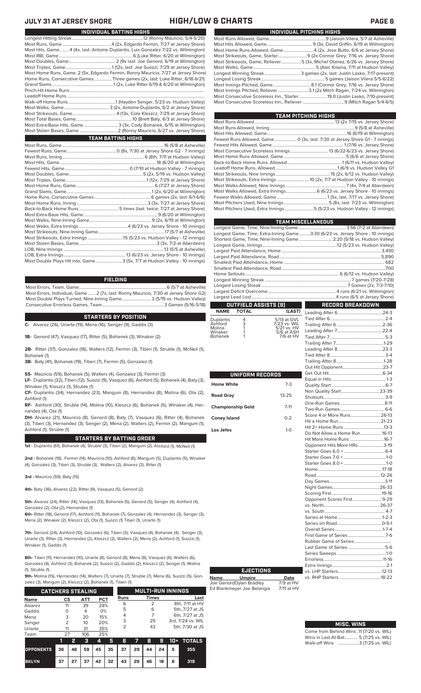### **JULY 31 AT JERSEY SHORE HIGH/LOW & CHARTS PAGE 6**

| INDIVIDUAL BATTING HIGHS                                                           |
|------------------------------------------------------------------------------------|
|                                                                                    |
|                                                                                    |
| Most Hits, Game 4 (4x, last: Antoine Duplantis, Luis Gonzalez 7/22 vs. Wilmington) |
|                                                                                    |
|                                                                                    |
|                                                                                    |
| Most Home Runs, Game2 (5x, Edgardo Fermin, Ronny Mauricio, 7/27 at Jersey Shore)   |
| Home Runs, Consecutive Games Three games (2x, last: Luke Ritter, 6/18-6/21)        |
|                                                                                    |
|                                                                                    |
|                                                                                    |
|                                                                                    |
|                                                                                    |
|                                                                                    |
|                                                                                    |
| Most Extra-Base Hits, Game 3 (3x, Cody Bohanek, 6/15 at Wilmington)                |
|                                                                                    |
| <b>TEAM BATTING HIGHS</b>                                                          |
|                                                                                    |
|                                                                                    |
|                                                                                    |
|                                                                                    |
|                                                                                    |
|                                                                                    |
|                                                                                    |

| Most Double Plays Hit into, Game3 (5x, 7/7 at Hudson Valley - 10 innings) |  |
|---------------------------------------------------------------------------|--|

### **FIELDING**

Most Errors, Team, Game...............................................................................6 (5/7 at Asheville) Most Errors, Individual, Game....... 2 (7x, last: Ronny Mauricio, 7/30 at Jersey Shore G2) Most Double Plays Turned, Nine-Inning Game.......................... 3 (5/19 vs. Hudson Valley) Consecutive Errorless Games, Team...

### **STARTERS BY POSITION**

**C-** Alvarez (26), Uriarte (19), Mena (16), Senger (9), Gaddis (3)

**1B-** Genord (47), Vasquez (17), Ritter (5), Bohanek (3), Winaker (2)

**2B-** Ritter (37), Gonzalez (18), Walters (12), Fermin (3), Tiberi (1), Struble (1), McNeil (1), Bohanek (1)

**3B-** Baty (41), Bohanek (19), Tiberi (7), Fermin (5), Gonzalez (1)

**SS-** Mauricio (59), Bohanek (5), Walters (4), Gonzalez (3), Fermin (3)

**LF-** Duplantis (32), Tiberi (12), Suozzi (9), Vasquez (6), Ashford (5), Bohanek (4), Baty (3), Winaker (1), Kleszcz (1), Struble (1)

**CF-** Duplantis (34), Hernandez (23), Mangum (8), Hernandez (8), Molina (6), Ota (2), Ashford (1)

**RF-** Ashford (30), Struble (14), Molina (10), Kleszcz (6), Bohanek (5), Winaker (4), Hernandez (4), Ota (1)

**DH-** Alvarez (21), Mauricio (8), Genord (8), Baty (7), Vasquez (6), Ritter (4), Bohanek (3), Tiberi (3), Hernandez (3), Senger (2), Mena (2), Walters (2), Fermin (2), Mangum (1), Ashford (1), Struble (1)

### **STARTERS BY BATTING ORDER**

**1st -** Duplantis (61), Bohanek (4), Struble (3), Tiberi (2), Mangum (2), Ashford (1), McNeil (1)

**2nd -** Bohanek (18), Fermin (14), Mauricio (10), Ashford (6), Mangum (5), Duplantis (5), Winaker (4), Gonzalez (3), Tiberi (3), Struble (3), Walters (2), Alvarez (2), Ritter (1)

**3rd -** Mauricio (59), Baty (15)

**4th-** Baty (36), Alvarez (22), Ritter (9), Vasquez (5), Genord (2)

**5th-** Alvarez (24), Ritter (14), Vasquez (13), Bohanek (5), Genord (5), Senger (4), Ashford (4), Gonzalez (2), Ota (2), Hernandez (1)

**6th-** Ritter (18), Genord (17), Ashford (11), Bohanek (7), Gonzalez (4), Hernandez (3), Senger (3), Mena (2), Winaker (2), Kleszcz (2), Ota (1), Suozzi (1) Tiberi (1), Uriarte (1)

**7th-** Genord (24), Ashford (10), Gonzalez (6), Tiberi (5), Vasquez (4), Bohanek (4), Senger (3), Uriarte (3), Ritter (3), Hernandez (2), Kleszcz (2), Walters (2), Mena (2), Ashford (1), Suozzi (1), Winaker (1), Gaddis (1)

**8th-** Tiberi (11), Hernandez (10), Uriarte (8), Genord (8), Mena (8), Vasquez (6), Walters (6), Gonzalez (4), Ashford (3), Bohanek (2), Suozzi (2), Gaddis (2), Kleszcz (2), Senger (1), Molina (1), Struble (1)

**9th-** Molina (15), Hernandez (14), Walters (7), Uriarte (7), Struble (7), Mena (6), Suozzi (5), Gon-

| zalez (3), Mangum (2), Kleszcz (2), Bohanek (1), Tiberi (1) |                |    |            |            |    |      |    |                          |    |       |                   |
|-------------------------------------------------------------|----------------|----|------------|------------|----|------|----|--------------------------|----|-------|-------------------|
| <b>CATCHERS STEALING</b>                                    |                |    |            |            |    |      |    | <b>MULTI-RUN INNINGS</b> |    |       |                   |
| <b>Name</b>                                                 | CS             |    | <b>ATT</b> | <b>PCT</b> |    | Runs |    | <b>Times</b>             |    |       | Last              |
| Alvarez                                                     | 11             |    | 39         | 28%        |    | 6    |    | $\overline{2}$           |    |       | 8th, 7/11 at HV   |
| Gaddis                                                      | O              |    | 4          | 0%         |    | 5    |    | 6                        |    |       | 5th, 7/27 at JS   |
| Mena                                                        | 3              |    | 20         | 15%        |    | 4    |    | 7                        |    |       | 6th, 7/27 at JS   |
| Senger                                                      | $\overline{2}$ |    | 10         | 20%        |    | 3    |    | 25                       |    |       | 3rd, 7/24 vs. WIL |
| Uriarte                                                     | 11             |    | 31         | 35%        |    | 2    |    | 43                       |    |       | 5th, 7/30 at JS   |
| Team                                                        | 27             |    | 106        | 25%        |    |      |    |                          |    |       |                   |
|                                                             | ī              | 2  | 3          | 4          | 5  | 6    | 7  | 8                        | 9  | $10+$ | <b>TOTALS</b>     |
| <b>OPPONENTS</b>                                            | 36             | 46 | 59         | 45         | 35 | 37   | 29 | 44                       | 24 | 5     | 355               |

**BKLYN 37 27 37 42 32 43 29 46 18 6 319**

| <b>IGH/LOW &amp; CHARTS</b> |  |  |  |  |
|-----------------------------|--|--|--|--|
|-----------------------------|--|--|--|--|

| INDIVIDUAL PITCHING HIGHS                                                   |
|-----------------------------------------------------------------------------|
|                                                                             |
|                                                                             |
|                                                                             |
|                                                                             |
| Most Strikeouts, Game, Reliever5 (3x, Michel Otanez, 6/26 vs. Jersey Shore) |
|                                                                             |
| Longest Winning Streak  3 games (2x, last: Justin Lasko, 7/17-present)      |
|                                                                             |
|                                                                             |
|                                                                             |
| Most Consecutive Scoreless Inn., Starter 19.0 (Justin Lasko, 7/10-present)  |
|                                                                             |

| <b>TEAM PITCHING HIGHS</b>                                                   |  |
|------------------------------------------------------------------------------|--|
|                                                                              |  |
|                                                                              |  |
|                                                                              |  |
| Fewest Runs Allowed, Game  0 (3x, last: 7/30 at Jersey Shore G1 - 7 innings) |  |
|                                                                              |  |
|                                                                              |  |
|                                                                              |  |
|                                                                              |  |
|                                                                              |  |
|                                                                              |  |
| Most Strikeouts, Extra Innings  10 (2x, 7/7 at Hudson Valley - 10 innings)   |  |
|                                                                              |  |
|                                                                              |  |
|                                                                              |  |
|                                                                              |  |
| Most Pitchers Used, Extra Innings 5 (5/23 vs. Hudson Valley - 12 innings)    |  |
|                                                                              |  |

|                   |                      |                           | <b>TEAM MISCELLANEOUS</b>                                                      |  |
|-------------------|----------------------|---------------------------|--------------------------------------------------------------------------------|--|
|                   |                      |                           |                                                                                |  |
|                   |                      |                           | Longest Game, Time, Extra-Inning Game3:30 (6/23 vs. Jersey Shore - 10 innings) |  |
|                   |                      |                           | Shortest Game, Time, Nine-Inning Game  2:20 (5/18 vs. Hudson Valley)           |  |
|                   |                      |                           |                                                                                |  |
|                   |                      |                           |                                                                                |  |
|                   |                      |                           |                                                                                |  |
|                   |                      |                           |                                                                                |  |
|                   |                      |                           |                                                                                |  |
|                   |                      |                           |                                                                                |  |
|                   |                      |                           |                                                                                |  |
|                   |                      |                           |                                                                                |  |
|                   |                      |                           |                                                                                |  |
|                   |                      |                           |                                                                                |  |
|                   |                      |                           |                                                                                |  |
|                   | OUTFIELD ASSISTS [9] |                           | <b>RECORD BREAKDOWN</b>                                                        |  |
| <b>NAME</b>       | <b>TOTAL</b>         | (LAST)                    |                                                                                |  |
| Duplantis         |                      | 5/13 at GVL               |                                                                                |  |
| Ashford           | $\frac{4}{3}$        | 7/23 vs. WIL              |                                                                                |  |
| Molina<br>Winaker | 1                    | 5/21 vs. HV<br>5/6 at ASH |                                                                                |  |
| Bohanek           | 1                    | 7/6 at HV                 |                                                                                |  |
|                   |                      |                           |                                                                                |  |
|                   |                      |                           |                                                                                |  |
|                   |                      |                           |                                                                                |  |
|                   |                      |                           |                                                                                |  |
|                   |                      |                           |                                                                                |  |
|                   | UNIFORM RECORDS      |                           |                                                                                |  |

| - 1111<br>- - - - - - - - -<br><b>Home White</b> | ----<br>$7-3$ | E<br>Q                          |
|--------------------------------------------------|---------------|---------------------------------|
| <b>Road Gray</b>                                 | $13 - 25$     | N<br>SI                         |
| <b>Championship Gold</b>                         | $7 - 11$      | O<br>T١                         |
| <b>Coney Island</b>                              | $0 - 2$       | S <sub>0</sub><br>Н             |
| Los Jefes                                        | $1-0$         | H<br>D<br>Н                     |
|                                                  |               | O<br>St<br>St<br>St<br>н        |
|                                                  |               | R<br>D<br>N<br>S <sub>0</sub>   |
|                                                  |               | O<br>VS<br>VS                   |
|                                                  |               | S(<br>S <sub>6</sub><br>O<br>Fi |
|                                                  |               | R<br>La<br>S <sub>6</sub>       |
|                                                  |               | Er                              |

**Name Umpire Date** Joe GenordDylan Bradley 7/9 at HV Ed Blankmeyer Joe Belangia 7/11 at HV

**EJECTIONS**

### Quality Start ................................................ 6-7 Non Quality Start..................................23-39 Shutouts.......................................................3-9 One-Run Games ........................................8-11 Two-Run Games ........................................6-6 ∩ore 4 or More Runs... Hit a Home Run......................................21-23 it 2+ Home Runs. o Not Allow a Home Run.................... <mark>16-13</mark><br>it More Home Runs .............................16-7 Hit More Home Runs ..............................16-7 pponent Hits More HRs. Starter Goes 6.0 +.....................................6-4 Starter Goes 7.0 + ......................................1-0 Starter Goes 8.0 + ......................................1-0 Home......................................................... 17-18 Road..........................................................12-26 Day Games..................................................3-11 .<br>.<br>.<br>.<br>Games Scoring First.............................................19-16 Opponent Scores First.......................... 9-29 .<br>. North... vs. South ...................................................... 4-7 eries at Home <mark>.</mark>. Series on Road........................................0-5-1 Overall Series...........................................1-7-4 rst Game of Series Rubber Game of Series ................................. Last Game of Series .................................5-6 Series Sweeps ............................................1-0 Errorless.....................................................11-16 Extra Innings... vs. LHP Starters.......................................12-13 vs. RHP Starters ...

| <b>MISC. WINS</b>                        |
|------------------------------------------|
| Come from Behind Wins .11 (7/20 vs. WIL) |
| Wins in Last At-Bat 5 (7/25 vs. WIL)     |
| Walk-off Wins 3 (7/25 vs. WIL)           |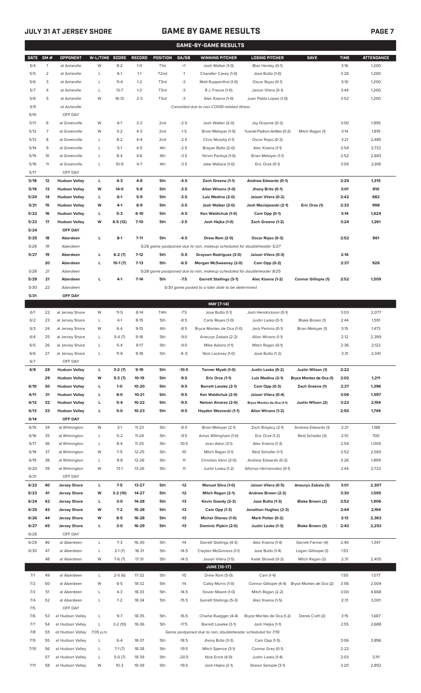## **JULY 31 AT JERSEY SHORE GAME BY GAME RESULTS**

|--|

|             |              |                                         |                |                    |                    |                  |                    | <b>GAME-BY-GAME RESULTS</b>                                             |                                          |                         |              |                   |
|-------------|--------------|-----------------------------------------|----------------|--------------------|--------------------|------------------|--------------------|-------------------------------------------------------------------------|------------------------------------------|-------------------------|--------------|-------------------|
| <b>DATE</b> | GM#          | <b>OPPONENT</b>                         | W-L/TIME SCORE |                    | <b>RECORD</b>      | POSITION         | GA/GB              | <b>WINNING PITCHER</b>                                                  | <b>LOSING PITCHER</b>                    | <b>SAVE</b>             | <b>TIME</b>  | <b>ATTENDANCE</b> |
| 5/4         | $\mathbf{1}$ | at Asheville                            | W              | $8 - 2$            | $1 - 0$            | T <sub>1st</sub> | $+1$               | Josh Walker (1-0)                                                       | Blair Henley (0-1)                       |                         | 3:16         | 1,200             |
| 5/5         | 2            | at Asheville                            | L              | $6-1$              | $1 - 1$            | T <sub>2nd</sub> | $-1$               | Chandler Casey (1-0)                                                    | Jose Butto (1-0)                         |                         | 3:26         | 1,200             |
| 5/6         | 3            | at Asheville                            | L              | $11 - 4$           | $1 - 2$            | T3rd             | $-2$               | Matt Ruppenthal (1-0)                                                   | Oscar Rojas (0-1)                        |                         | 3:10         | 1,200             |
| 5/7         | 4            | at Asheville                            | L              | $13 - 7$           | $1 - 3$            | T3rd             | -3                 | R.J. Freure (1-0)                                                       | Jaison Vilera (0-1)                      |                         | 3:44         | 1,200             |
| 5/8         | 5            | at Asheville                            | W              | $16-12$            | $2 - 3$            | T3rd             | -3                 | Alec Kisena (1-0)                                                       | Juan Pablo Lopez (1-0)                   |                         | 3:52         | 1,200             |
| 5/9         |              | at Asheville                            |                |                    |                    |                  |                    | Cancelled due to non-COVID-related illness                              |                                          |                         |              |                   |
| 5/10        |              | OFF DAY                                 |                |                    |                    |                  |                    |                                                                         |                                          |                         |              |                   |
| 5/11        | 6            | at Greenville                           | W              | $6-1$              | $3-3$              | 2 <sub>nd</sub>  | $-2.5$             | Josh Walker (2-0)                                                       | Jay Groome (0-2)                         |                         | 3:00         | 1,995             |
| 5/12        | 7            | at Greenville                           | W              | $3-2$              | $4 - 3$            | 2 <sub>nd</sub>  | $-1.5$             | Brian Metoyer (1-0)                                                     | Yusniel Padron-Artilles (0-2)            | Mitch Ragan (1)         | 3:14         | 1,819             |
| 5/13        | 8            | at Greenville                           | L              | $8 - 2$            | $4 - 4$            | 2 <sub>nd</sub>  | $-2.5$             | Chris Murphy (1-1)                                                      | Oscar Rojas (0-2)                        |                         | 3:21         | 2,485             |
| 5/14        | 9            | at Greenville                           | L              | $5-1$              | $4 - 5$            | 4th              | $-2.5$             | Brayan Bello (2-0)                                                      | Alec Kisena (1-1)                        |                         | 2:54         | 2,732             |
| 5/15        | 10           | at Greenville                           | Г              | $8 - 4$            | $4-6$              | 4th              | $-3.5$             | Yorvin Pantoja (1-0)                                                    | Brian Metoyer (1-1)                      |                         | 2:52         | 2,883             |
| 5/16        | 11           | at Greenville                           | L              | $10-9$             | $4 - 7$            | 4th              | $-3.5$             | Jake Wallace (1-0)                                                      | Eric Orze (0-1)                          |                         | 3:09         | 2,818             |
| 5/17        |              | OFF DAY                                 |                |                    |                    |                  |                    |                                                                         |                                          |                         |              |                   |
| 5/18        | 12           | <b>Hudson Valley</b>                    | L              | $4-3$              | $4-8$              | 5th              | $-4.5$             | Zach Greene (1-1)                                                       | Andrew Edwards (0-1)                     |                         | 2:29         | 1,315             |
| 5/19        | 13           | <b>Hudson Valley</b>                    | W              | 14-0               | $5-8$              | 5th              | $-3.5$             | Allan Winans (1-0)                                                      | Jhony Brito (0-1)                        |                         | 3:01         | 810               |
| 5/20        | 14           | <b>Hudson Valley</b>                    | L              | $6-1$              | $5-9$              | 5th              | $-3.5$             | Luis Medina (2-0)                                                       | Jaison Vilera (0-2)                      |                         | 2:42         | 682               |
| 5/21        | 15           | <b>Hudson Valley</b>                    | W              | 4-1                | $6-9$              | 5th              | $-3.5$             | Josh Walker (3-0)                                                       | Josh Maciejewski (2-1)                   | Eric Orze (1)           | 2:33         | 998               |
| 5/22        | 16           | <b>Hudson Valley</b>                    | L              | $5-3$              | $6-10$             | 5th              | $-4.5$             | Ken Waldichuk (1-0)                                                     | Cam Opp (0-1)                            |                         | 3:14         | 1,624             |
| 5/23        | 17           | <b>Hudson Valley</b>                    | W              | $6-5(12)$          | $7-10$             | 5th              | $-3.5$             | Josh Hejka (1-0)                                                        | Zach Greene (1-2)                        |                         | 3:24         | 1,261             |
| 5/24        |              | OFF DAY                                 |                |                    |                    |                  |                    |                                                                         |                                          |                         |              |                   |
| 5/25        | 18           | Aberdeen                                | L              | $8-1$              | $7 - 11$           | 5th              | $-4.5$             | Drew Rom (2-0)                                                          | Oscar Rojas (0-3)                        |                         | 2:52         | 861               |
| 5/26        | 19           | Aberdeen                                |                |                    |                    |                  |                    | 5/26 game postponed due to rain, makeup scheduled for doubleheader 5/27 |                                          |                         |              |                   |
| 5/27        | 19           | Aberdeen                                | г              | $6-2(7)$           | $7-12$             | 5th              | $-5.5$             | Grayson Rodriguez (3-0)                                                 | Jaison Vilera (0-3)                      |                         | 2:14         |                   |
|             | 20           | Aberdeen                                | L              | $10-1(7)$          | $7-13$             | 5th              | $-6.5$             | Morgan McSweeney (2-0)                                                  | Cam Opp (0-2)                            |                         | 2:37         | 926               |
| 5/28        | 21           | Aberdeen                                |                |                    |                    |                  |                    | 5/28 game postponed due to rain, makeup scheduled for doubleheader 8/25 |                                          |                         |              |                   |
| 5/29        | 21           | Aberdeen                                | L              | $4-1$              | $7-14$             | 5th              | $-7.5$             | <b>Garrett Stallings (3-1)</b>                                          | Alec Kisena (1-2)                        | Connor Gillispie (1)    | 2:52         | 1,509             |
| 5/30        | 22           | Aberdeen                                |                |                    |                    |                  |                    | 5/30 game posted to a later date to be determined                       |                                          |                         |              |                   |
| 5/31        |              | OFF DAY                                 |                |                    |                    |                  |                    |                                                                         |                                          |                         |              |                   |
|             |              |                                         |                |                    |                    |                  |                    | MAY [7-14]                                                              |                                          |                         |              |                   |
| 6/1<br>6/2  | 22<br>23     | at Jersey Shore                         | W              | $11 - 5$<br>$4-1$  | $8-14$<br>$8 - 15$ | T4th<br>5th      | $-7.5$<br>$-8.5$   | Jose Butto (1-1)                                                        | Josh Hendrickson (0-1)                   | Blake Brown (1)         | 3:03<br>2:44 | 2,077<br>1,591    |
| 6/3         | 24           | at Jersey Shore<br>at Jersey Shore      | L<br>W         | $6 - 4$            | $9 - 15$           | 4th              | $-8.5$             | Carlo Reyes (1-0)<br>Bryce Montes de Oca (1-0)                          | Justin Lasko (0-1)<br>Jack Perkins (0-1) | Brian Metoyer (1)       | 3:15         | 1,473             |
| 6/4         | 25           | at Jersey Shore                         | L              | $5-4(7)$           | $9 - 16$           | 5th              | $-9.0$             | Aneurys Zabala (2-2)                                                    | Allan Winans (1-1)                       |                         | 2:12         | 2,399             |
| 6/5         | 26           |                                         | L              | $5 - 4$            | $9-17$             | 5th              | $-9.0$             | Mike Adams (1-1)                                                        | Mitch Ragan (0-1)                        |                         | 2:36         | 2,122             |
| 6/6         | 27           | at Jersey Shore<br>at Jersey Shore      | L              | $11-6$             | $9-18$             | 5th              | $-9.5$             | Nick Lackney (1-0)                                                      | Jose Butto (1-2)                         |                         | 3:31         | 2,041             |
| 6/7         |              | OFF DAY                                 |                |                    |                    |                  |                    |                                                                         |                                          |                         |              |                   |
| 6/9         | 28           | <b>Hudson Valley</b>                    | L              | $3-2(7)$           | $9-19$             | 5th              | $-10.5$            | Tanner Myatt (1-0)                                                      | Justin Lasko (0-2)                       | Justin Wilson (1)       | 2:22         |                   |
|             | 29           | <b>Hudson Valley</b>                    | W              | $5-3(7)$           | $10-19$            | 5th              | $-9.5$             | Eric Orze (1-1)                                                         | Luis Medina (2-1)                        | Bryce Montes de Oca (1) | 2:02         | 1,211             |
| 6/10        | 30           | <b>Hudson Valley</b>                    | L              | $1 - 0$            | 10-20              | 5th              | $-9.5$             | <b>Barrett Loseke (2-1)</b>                                             | Cam Opp (0-3)                            | Zach Greene (1)         | 2:37         | 1,396             |
| 6/11        | 31           | <b>Hudson Valley</b>                    | L              | $8-0$              | $10 - 21$          | 5th              | $-9.5$             | Ken Waldichuk (2-0)                                                     | Jaison Vilera (0-4)                      |                         | 3:06         | 1,597             |
| 6/12        | 32           | <b>Hudson Valley</b>                    | г              | $5 - 4$            | 10-22              | 5th              | $-9.5$             | Nelson Alvarez (2-0)                                                    | Bryce Montes de Oca (1-1)                | Justin Wilson (2)       | 3:22         | 2,194             |
| 6/13        | 33           | <b>Hudson Valley</b>                    | L              | $5-0$              | $10 - 23$          | 5th              | $-9.5$             | Hayden Wesneski (1-1)                                                   | Allan Winans (1-2)                       |                         | 2:50         | 1,749             |
| 6/14        |              | OFF DAY                                 |                |                    |                    |                  |                    |                                                                         |                                          |                         |              |                   |
| 6/15        | 34           | at Wilmington                           | W              | $3-1$              | $11 - 23$          | 5th              | $-8.5$             | Brian Metoyer (2-1)                                                     | Zach Brzykcy (2-1)                       | Andrew Edwards (1)      | 2:21         | 1,188             |
| 6/16        | 35           | at Wilmington                           | L              | $5 - 2$            | $11 - 24$          | 5th              | $-9.5$             | Amos Willingham (1-0)                                                   | Eric Orze (1-2)                          | Reid Schaller (3)       | 2:51         | 700               |
| 6/17        | 36           | at Wilmington                           | L              | $8 - 4$            | $11 - 25$          | 5th              | $-10.5$            | Joan Adon (3-1)                                                         | Alec Kisena (1-3)                        |                         | 2:54         | 1,009             |
| 6/18        | 37           | at Wilmington                           | W              | $7-5$              | $12 - 25$          | 5th              | $-10$              | Mitch Ragan (1-1)                                                       | Reid Schaller (1-1)                      |                         | 2:52         | 2,565             |
| 6/19        | 38           | at Wilmington                           | L              | $9 - 8$            | 12-26              | 5th              | $-11$              | Christian Vann (2-0)                                                    | Andrew Edwards (0-2)                     |                         | 3:26         | 1,899             |
| 6/20        | 39           | at Wilmington                           | W              | $13-1$             | 13-26              | 5th              | $-11$              | Justin Lasko (1-2)                                                      | Alfonso Hernanndez (0-1)                 |                         | 2:44         | 2,722             |
| 6/21        |              | OFF DAY                                 |                |                    |                    |                  |                    |                                                                         |                                          |                         |              |                   |
| 6/22        | 40           | <b>Jersey Shore</b>                     | L              | $7 - 5$            | 13-27              | 5th              | $-12$              | <b>Manuel Silva (1-0)</b>                                               | Jaison Vilera (0-5)                      | Aneurys Zabala (3)      | 3:01         | 2,307             |
| 6/23        | 41           | <b>Jersey Shore</b>                     | W              | $3-2(10)$          | 14-27              | 5th              | $-12$              | Mitch Ragan (2-1)                                                       | Andrew Brown (2-2)                       |                         | 3:30         | 1,595             |
| 6/24        | 42           | <b>Jersey Shore</b>                     | L              | $3-0$              | 14-28              | 5th              | -13                | Kevin Gowdy (2-3)                                                       | Jose Butto (1-3)                         | Blake Brown (2)         | 2:52         | 1,906             |
| 6/25        | 43           | <b>Jersey Shore</b>                     | W              | $7-2$              | 15-28              | 5th              | -13                | Cam Opp (1-3)                                                           | Jonathan Hughes (2-3)                    |                         | 2:44         | 2,194             |
| 6/26        | 44           | <b>Jersey Shore</b>                     | W              | $8-5$              | 16-28              | 5th              | $-13$              | <b>Michel Otanez (1-0)</b>                                              | Mark Potter (0-2)                        |                         | 3:13         | 2,363             |
| 6/27        | 45           | <b>Jersey Shore</b>                     | г              | $3-0$              | 16-29              | 5th              | $-13$              | Dominic Pipkin (2-0)                                                    | Justin Lasko (1-3)                       | Blake Brown (3)         | 2:43         | 2,253             |
| 6/28        |              | OFF DAY                                 |                |                    |                    |                  |                    |                                                                         |                                          |                         |              |                   |
| 6/29        | 46           | at Aberdeen                             | L              | $7 - 3$            | 16-30              | 5th              | $-14$              | Garrett Stallings (4-3)                                                 | Alec Kisena (1-4)                        | Garrett Farmer (4)      | 2:40         | 1,347             |
| 6/30        | 47           | at Aberdeen                             | L              | $2-1(7)$           | 16-31              | 5th              | $-14.5$            | Clayton McGinness (1-1)                                                 | Jose Butto (1-4)                         | Logan Gillaspie (1)     | 1:53         |                   |
|             | 48           | at Aberdeen                             | W              | $7-6(7)$           | $17 - 31$          | 5th              | $-14.5$            | Jaison Vilera (1-5)                                                     | Kade Strowd (0-2)                        | Mitch Ragan (2)         | 2:31         | 2,405             |
|             |              |                                         |                |                    |                    |                  |                    | <b>JUNE [10-17]</b>                                                     |                                          |                         |              |                   |
| 7/1         | 49           | at Aberdeen                             | L              | $2-0(6)$           | 17-32              | 5th              | $-15$              | Drew Rom (5-0)                                                          | Cam (1-4)                                |                         | 1:50         | 1,077             |
| 7/2         | 50           | at Aberdeen                             | W              | $6 - 5$            | 18-32              | 5th              | $-14$              | Colby Morris (1-0)                                                      | Connor Gillispie (4-4)                   | Bryce Montes de Oca (2) | 3:56         | 2,004             |
| 7/3         | 51           | at Aberdeen                             | L              | $4 - 3$            | 18-33              | 5th              | $-14.5$            | Xavier Moore (1-0)                                                      | Mitch Ragan (2-2)                        |                         | 3:00         | 4,668             |
| 7/4         | 52           | at Aberdeen                             | L              | $7 - 2$            | 18-34              | 5th              | $-15.5$            | Garrett Stallings (5-3)                                                 | Alec Kisena (1-5)                        |                         | 2:31         | 3,001             |
| 7/5         |              | OFF DAY                                 |                |                    |                    |                  |                    |                                                                         |                                          |                         |              |                   |
| 7/6         | 53           | at Hudson Valley                        | L              | $9 - 7$            | 18-35              | 5th              | $-16.5$            | Charlie Ruegger (4-4)                                                   | Bryce Montes de Oca (1-2)                | Derek Craft (2)         | 3:15         | 1,687             |
| 7/7         | 54           | at Hudson Valley                        | L              | $3-2(10)$          | 18-36              | 5th              | $-17.5$            | Barrett Loseke (3-1)                                                    | Josh Hejka (1-1)                         |                         | 2:55         | 2,688             |
| 7/8         | 55           | at Hudson Valley                        | 7:05 p.m.      |                    |                    |                  |                    | Game postponed due to rain, doubleheader scheduled for 7/10             |                                          |                         |              |                   |
| 7/9         | 55           | at Hudson Valley                        | L              | $6 - 4$            | 18-37              | 5th              | $-18.5$            | Jhony Brito (3-3)                                                       | Cam Opp (1-5)                            |                         | 3:06         | 3,896             |
| 7/10        | 56           | at Hudson Valley                        | L              | $7-1(7)$           | 18-38              | 5th              | $-19.5$            | Mitch Spence (3-1)                                                      | Connor Grey (0-1)                        |                         | 2:22         |                   |
| 7/11        | 57           | at Hudson Valley<br>58 at Hudson Valley | L<br>W         | $5-0(7)$<br>$10-3$ | 18-39<br>19-39     | 5th<br>5th       | $-20.5$<br>$-19.5$ | Nick Ernst (4-0)<br>Josh Hejka (2-1)                                    | Justin Lasko (1-4)<br>Shawn Semple (3-1) |                         | 2:03<br>3:20 | 3,111<br>2,892    |
|             |              |                                         |                |                    |                    |                  |                    |                                                                         |                                          |                         |              |                   |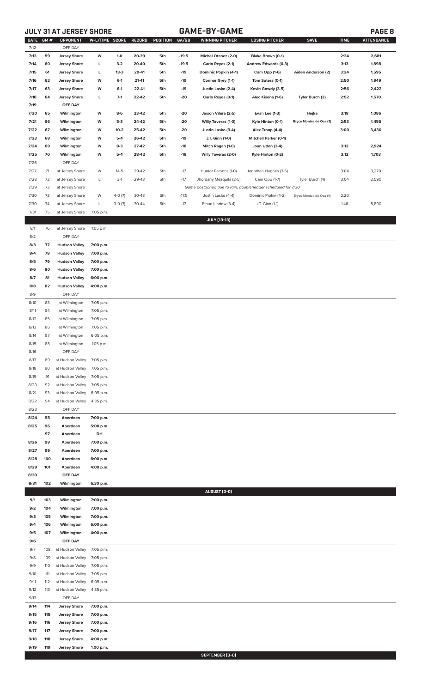**JULY 31 AT JERSEY SHORE GAME-BY-GAME PAGE 8**

| DATE GM#     |           | OPPONENT             | W-L/TIME SCORE RECORD  |          |       | POSITION | GA/GB   | <b>WINNING PITCHER</b>                                      | <b>LOSING PITCHER</b>        | <b>SAVE</b>             | <b>TIME</b> | <b>ATTENDANCE</b> |
|--------------|-----------|----------------------|------------------------|----------|-------|----------|---------|-------------------------------------------------------------|------------------------------|-------------------------|-------------|-------------------|
| 7/12         |           | OFF DAY              |                        |          |       |          |         |                                                             |                              |                         |             |                   |
| 7/13         | 59        | <b>Jersey Shore</b>  | W                      | $1-0$    | 20-39 | 5th      | $-19.5$ | Michel Otanez (2-0)                                         | Blake Brown (0-1)            |                         | 2:34        | 2,681             |
| 7/14         | 60        | <b>Jersey Shore</b>  | L                      | $3-2$    | 20-40 | 5th      | $-19.5$ | Carlo Reyes (2-1)                                           | Andrew Edwards (0-3)         |                         | 3:13        | 1,898             |
| 7/15         | 61        | <b>Jersey Shore</b>  | L                      | $13 - 3$ | 20-41 | 5th      | $-19$   | Dominic Popkin (4-1)                                        | Cam Opp (1-6)                | Aiden Anderson (2)      | 3:24        | 1,595             |
| 7/16         | 62        | <b>Jersey Shore</b>  | W                      | $6-1$    | 21-41 | 5th      | $-19$   | Connor Grey (1-1)                                           | Tom Sutera (0-1)             |                         | 2:50        | 1,949             |
| 7/17         | 63        | <b>Jersey Shore</b>  | W                      | $6-1$    | 22-41 | 5th      | $-19$   | Justin Lasko (2-4)                                          | Kevin Gowdy (3-5)            |                         | 2:56        | 2,422             |
| 7/18         | 64        | <b>Jersey Shore</b>  | L                      | $7-1$    | 22-42 | 5th      | -20     | Carlo Reyes (3-1)                                           | Alec Kisena (1-6)            | Tyler Burch (3)         | 2:52        | 1,570             |
| 7/19         |           | OFF DAY              |                        |          |       |          |         |                                                             |                              |                         |             |                   |
| 7/20         | 65        | Wilmington           | W                      | $8-6$    | 23-42 | 5th      | -20     | Jaison Vilera (2-5)                                         | <b>Evan Lee (1-3)</b>        | Hejka                   | 3:18        | 1,086             |
| 7/21         | 66        | Wilmington           | W                      | $5-3$    | 24-42 | 5th      | -20     | Willy Taveras (1-0)                                         | Kyle Hinton (0-1)            | Bryce Montes de Oca (3) | 2:53        | 1,456             |
| 7/22         | 67        | Wilmington           | W                      | $10 - 2$ | 25-42 | 5th      | -20     | Justin Lasko (3-4)                                          | Alex Troop (4-4)             |                         | 3:00        | 3,430             |
| 7/23         | 68        | Wilmington           | W                      | $5-4$    | 26-42 | 5th      | $-19$   | J.T. Ginn (1-0)                                             | <b>Mitchell Parker (0-1)</b> |                         |             |                   |
| 7/24         | 69        | Wilmington           | W                      | $8-3$    | 27-42 | 5th      | $-18$   | Mitch Ragan (1-0)                                           | Joan Udon (3-4)              |                         | 3:12        | 2,924             |
| 7/25         | 70        | Wilmington           | W                      | $5-4$    | 28-42 | 5th      | $-18$   | Willy Taveras (2-0)                                         | Kyle Hinton (0-2)            |                         | 3:12        | 1,703             |
| 7/26         |           | OFF DAY              |                        |          |       |          |         |                                                             |                              |                         |             |                   |
| 7/27         | 71        | at Jersey Shore      | W                      | $14 - 5$ | 29-42 | 5th      | $-17$   | Hunter Parsons (1-0)                                        | Jonathan Hughes (3-5)        |                         | 3:04        | 3,270             |
| 7/28         | 72        | at Jersey Shore      | L                      | $3-1$    | 29-43 | 5th      | $-17$   | Jhordany Mezquita (2-5)                                     | Cam Opp (1-7)                | Tyler Burch (4)         | 3:04        | 2,590             |
| 7/29         | 73        | at Jersey Shore      |                        |          |       |          |         | Game postponed due to rain, doubleheader scheduled for 7/30 |                              |                         |             |                   |
| 7/30         | 73        | at Jersey Shore      | W                      | $4-0(7)$ | 30-43 | 5th      | $-17.5$ | Justin Lasko (4-4)                                          | Dominic Pipkin (4-2)         | Bryce Montes de Oca (4) | 2:20        |                   |
| 7/30         | 74        | at Jersey Shore      | L                      | $3-0(7)$ | 30-44 | 5th      | $-17$   | Ethan Lindow (3-4)                                          | J.T. Ginn (1-1)              |                         | 1:46        | 5,890             |
| 7/31         | 75        | at Jersey Shore      | 7:05 p.m.              |          |       |          |         |                                                             |                              |                         |             |                   |
|              |           |                      |                        |          |       |          |         | JULY [13-13]                                                |                              |                         |             |                   |
| 8/1          | 76        | at Jersey Shore      | 1:05 p.m.              |          |       |          |         |                                                             |                              |                         |             |                   |
| 8/2          |           | OFF DAY              |                        |          |       |          |         |                                                             |                              |                         |             |                   |
| 8/3          | 77        | <b>Hudson Valley</b> | 7:00 p.m.              |          |       |          |         |                                                             |                              |                         |             |                   |
| 8/4          | 78        | <b>Hudson Valley</b> | 7:00 p.m.              |          |       |          |         |                                                             |                              |                         |             |                   |
| 8/5          | 79        | <b>Hudson Valley</b> | 7:00 p.m.              |          |       |          |         |                                                             |                              |                         |             |                   |
| 8/6          | 80        | <b>Hudson Valley</b> | 7:00 p.m.              |          |       |          |         |                                                             |                              |                         |             |                   |
| 8/7          | 81        | <b>Hudson Valley</b> | 6:00 p.m.              |          |       |          |         |                                                             |                              |                         |             |                   |
| 8/8          | 82        | <b>Hudson Valley</b> | 4:00 p.m.              |          |       |          |         |                                                             |                              |                         |             |                   |
| 8/9          |           | OFF DAY              |                        |          |       |          |         |                                                             |                              |                         |             |                   |
| 8/10         | 83        | at Wilmington        | 7:05 p.m.              |          |       |          |         |                                                             |                              |                         |             |                   |
| 8/11         | 84        | at Wilmington        | 7:05 p.m.              |          |       |          |         |                                                             |                              |                         |             |                   |
| 8/12         | 85        | at Wilmington        | 7:05 p.m.              |          |       |          |         |                                                             |                              |                         |             |                   |
| 8/13         | 86        | at Wilmington        | 7:05 p.m.              |          |       |          |         |                                                             |                              |                         |             |                   |
| 8/14         | 87        | at Wilmington        | 6:05 p.m.              |          |       |          |         |                                                             |                              |                         |             |                   |
| 8/15         | 88        | at Wilmington        | 1:05 p.m.              |          |       |          |         |                                                             |                              |                         |             |                   |
| 8/16         |           | OFF DAY              |                        |          |       |          |         |                                                             |                              |                         |             |                   |
| 8/17         | 89        | at Hudson Valley     | 7:05 p.m.              |          |       |          |         |                                                             |                              |                         |             |                   |
| 8/18         | 90        | at Hudson Valley     | 7:05 p.m.              |          |       |          |         |                                                             |                              |                         |             |                   |
| 8/19         | 91        | at Hudson Valley     | 7:05 p.m.              |          |       |          |         |                                                             |                              |                         |             |                   |
| 8/20         | 92        | at Hudson Valley     | 7:05 p.m.              |          |       |          |         |                                                             |                              |                         |             |                   |
| 8/21         | 93        | at Hudson Valley     | 6:05 p.m.              |          |       |          |         |                                                             |                              |                         |             |                   |
| 8/22         | 94        | at Hudson Valley     | 4:35 p.m.              |          |       |          |         |                                                             |                              |                         |             |                   |
| 8/23         |           | OFF DAY              |                        |          |       |          |         |                                                             |                              |                         |             |                   |
| 8/24         | 95        | Aberdeen             | 7:00 p.m.              |          |       |          |         |                                                             |                              |                         |             |                   |
| 8/25         | 96        | Aberdeen             | 5:00 p.m.              |          |       |          |         |                                                             |                              |                         |             |                   |
|              | 97        | Aberdeen             | DH                     |          |       |          |         |                                                             |                              |                         |             |                   |
| 8/26         | 98        | Aberdeen             | 7:00 p.m.              |          |       |          |         |                                                             |                              |                         |             |                   |
|              |           |                      |                        |          |       |          |         |                                                             |                              |                         |             |                   |
| 8/27<br>8/28 | 99<br>100 | Aberdeen<br>Aberdeen | 7:00 p.m.<br>6:00 p.m. |          |       |          |         |                                                             |                              |                         |             |                   |
| 8/29         | 101       | Aberdeen             | 4:00 p.m.              |          |       |          |         |                                                             |                              |                         |             |                   |
| 8/30         |           | OFF DAY              |                        |          |       |          |         |                                                             |                              |                         |             |                   |
| 8/31         | 102       | Wilmington           | 6:30 p.m.              |          |       |          |         |                                                             |                              |                         |             |                   |
|              |           |                      |                        |          |       |          |         | AUGUST (0-0)                                                |                              |                         |             |                   |
| 9/1          | 103       | Wilmington           | 7:00 p.m.              |          |       |          |         |                                                             |                              |                         |             |                   |
| 9/2          | 104       | Wilmington           | 7:00 p.m.              |          |       |          |         |                                                             |                              |                         |             |                   |
|              |           |                      |                        |          |       |          |         |                                                             |                              |                         |             |                   |
| 9/3          | 105       | Wilmington           | 7:00 p.m.              |          |       |          |         |                                                             |                              |                         |             |                   |
| 9/4          | 106       | Wilmington           | 6:00 p.m.              |          |       |          |         |                                                             |                              |                         |             |                   |
| 9/5          | 107       | Wilmington           | 4:00 p.m.              |          |       |          |         |                                                             |                              |                         |             |                   |
| 9/6          |           | OFF DAY              |                        |          |       |          |         |                                                             |                              |                         |             |                   |
| 9/7          | 108       | at Hudson Valley     | 7:05 p.m.              |          |       |          |         |                                                             |                              |                         |             |                   |
| 9/8          | 109       | at Hudson Valley     | 7:05 p.m.              |          |       |          |         |                                                             |                              |                         |             |                   |
| 9/9          | 110       | at Hudson Valley     | 7:05 p.m.              |          |       |          |         |                                                             |                              |                         |             |                   |
| 9/10         | 111       | at Hudson Valley     | 7:05 p.m.              |          |       |          |         |                                                             |                              |                         |             |                   |
| 9/11         | 112       | at Hudson Valley     | 6:05 p.m.              |          |       |          |         |                                                             |                              |                         |             |                   |
| 9/12         | 113       | at Hudson Valley     | 4:35 p.m.              |          |       |          |         |                                                             |                              |                         |             |                   |
| 9/13         |           | OFF DAY              |                        |          |       |          |         |                                                             |                              |                         |             |                   |
| 9/14         | 114       | <b>Jersey Shore</b>  | 7:00 p.m.              |          |       |          |         |                                                             |                              |                         |             |                   |
| 9/15         | 115       | <b>Jersey Shore</b>  | 7:00 p.m.              |          |       |          |         |                                                             |                              |                         |             |                   |
| 9/16         | 116       | <b>Jersey Shore</b>  | 7:00 p.m.              |          |       |          |         |                                                             |                              |                         |             |                   |
| 9/17         | 117       | <b>Jersey Shore</b>  | 7:00 p.m.              |          |       |          |         |                                                             |                              |                         |             |                   |
| 9/18         | 118       | <b>Jersey Shore</b>  | 4:00 p.m.              |          |       |          |         |                                                             |                              |                         |             |                   |
| 9/19         | 119       | <b>Jersey Shore</b>  | 1:00 p.m.              |          |       |          |         |                                                             |                              |                         |             |                   |

**SEPTEMBER (0-0)**